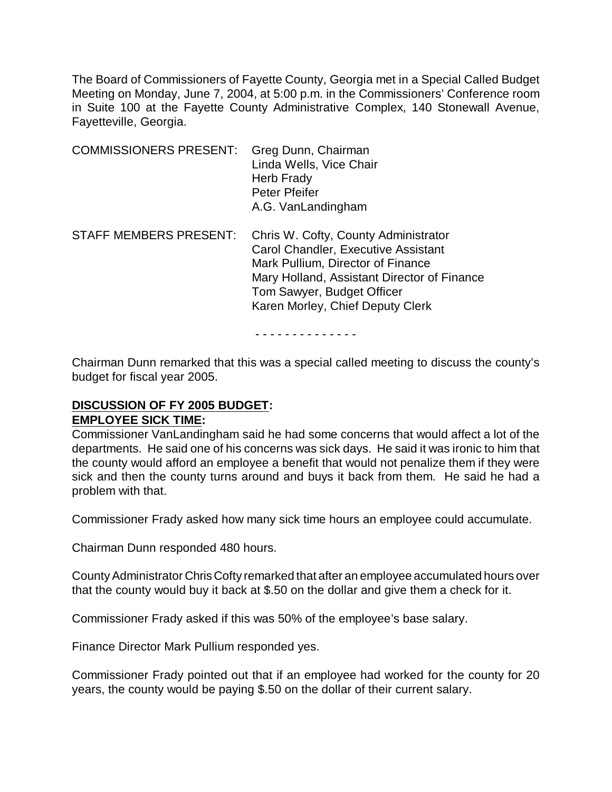The Board of Commissioners of Fayette County, Georgia met in a Special Called Budget Meeting on Monday, June 7, 2004, at 5:00 p.m. in the Commissioners' Conference room in Suite 100 at the Fayette County Administrative Complex, 140 Stonewall Avenue, Fayetteville, Georgia.

| <b>COMMISSIONERS PRESENT:</b> | Greg Dunn, Chairman<br>Linda Wells, Vice Chair<br>Herb Frady<br>Peter Pfeifer<br>A.G. VanLandingham                                                                                                                               |
|-------------------------------|-----------------------------------------------------------------------------------------------------------------------------------------------------------------------------------------------------------------------------------|
| <b>STAFF MEMBERS PRESENT:</b> | Chris W. Cofty, County Administrator<br>Carol Chandler, Executive Assistant<br>Mark Pullium, Director of Finance<br>Mary Holland, Assistant Director of Finance<br>Tom Sawyer, Budget Officer<br>Karen Morley, Chief Deputy Clerk |

- - - - - - - - - - - - - -

Chairman Dunn remarked that this was a special called meeting to discuss the county's budget for fiscal year 2005.

## **DISCUSSION OF FY 2005 BUDGET: EMPLOYEE SICK TIME:**

Commissioner VanLandingham said he had some concerns that would affect a lot of the departments. He said one of his concerns was sick days. He said it was ironic to him that the county would afford an employee a benefit that would not penalize them if they were sick and then the county turns around and buys it back from them. He said he had a problem with that.

Commissioner Frady asked how many sick time hours an employee could accumulate.

Chairman Dunn responded 480 hours.

County Administrator Chris Cofty remarked that after an employee accumulated hours over that the county would buy it back at \$.50 on the dollar and give them a check for it.

Commissioner Frady asked if this was 50% of the employee's base salary.

Finance Director Mark Pullium responded yes.

Commissioner Frady pointed out that if an employee had worked for the county for 20 years, the county would be paying \$.50 on the dollar of their current salary.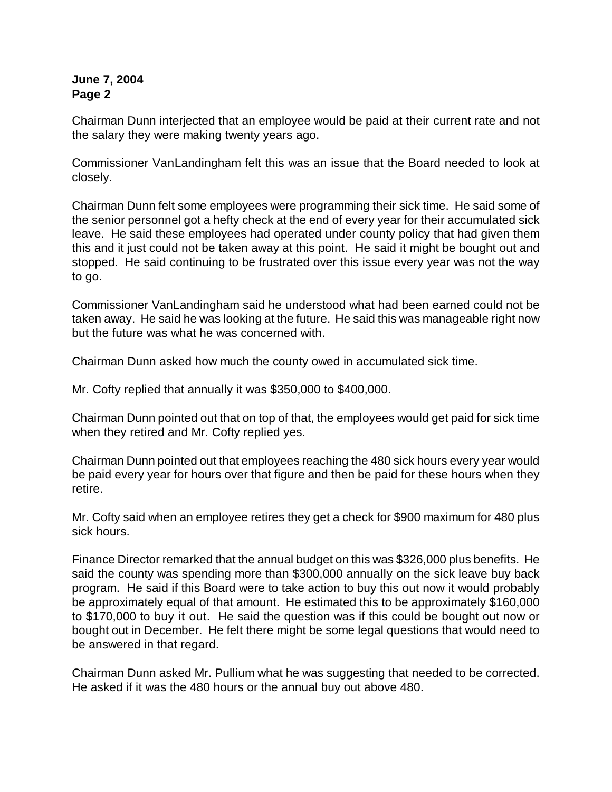Chairman Dunn interjected that an employee would be paid at their current rate and not the salary they were making twenty years ago.

Commissioner VanLandingham felt this was an issue that the Board needed to look at closely.

Chairman Dunn felt some employees were programming their sick time. He said some of the senior personnel got a hefty check at the end of every year for their accumulated sick leave. He said these employees had operated under county policy that had given them this and it just could not be taken away at this point. He said it might be bought out and stopped. He said continuing to be frustrated over this issue every year was not the way to go.

Commissioner VanLandingham said he understood what had been earned could not be taken away. He said he was looking at the future. He said this was manageable right now but the future was what he was concerned with.

Chairman Dunn asked how much the county owed in accumulated sick time.

Mr. Cofty replied that annually it was \$350,000 to \$400,000.

Chairman Dunn pointed out that on top of that, the employees would get paid for sick time when they retired and Mr. Cofty replied yes.

Chairman Dunn pointed out that employees reaching the 480 sick hours every year would be paid every year for hours over that figure and then be paid for these hours when they retire.

Mr. Cofty said when an employee retires they get a check for \$900 maximum for 480 plus sick hours.

Finance Director remarked that the annual budget on this was \$326,000 plus benefits. He said the county was spending more than \$300,000 annually on the sick leave buy back program. He said if this Board were to take action to buy this out now it would probably be approximately equal of that amount. He estimated this to be approximately \$160,000 to \$170,000 to buy it out. He said the question was if this could be bought out now or bought out in December. He felt there might be some legal questions that would need to be answered in that regard.

Chairman Dunn asked Mr. Pullium what he was suggesting that needed to be corrected. He asked if it was the 480 hours or the annual buy out above 480.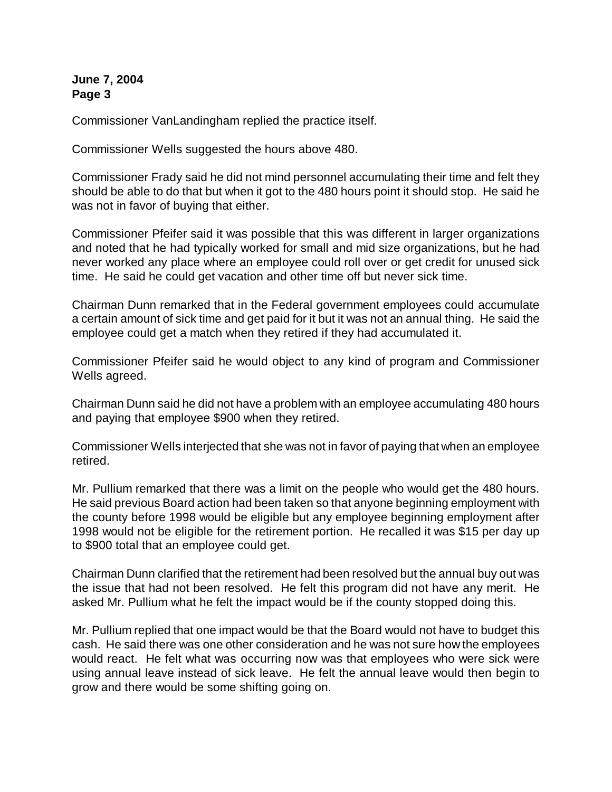Commissioner VanLandingham replied the practice itself.

Commissioner Wells suggested the hours above 480.

Commissioner Frady said he did not mind personnel accumulating their time and felt they should be able to do that but when it got to the 480 hours point it should stop. He said he was not in favor of buying that either.

Commissioner Pfeifer said it was possible that this was different in larger organizations and noted that he had typically worked for small and mid size organizations, but he had never worked any place where an employee could roll over or get credit for unused sick time. He said he could get vacation and other time off but never sick time.

Chairman Dunn remarked that in the Federal government employees could accumulate a certain amount of sick time and get paid for it but it was not an annual thing. He said the employee could get a match when they retired if they had accumulated it.

Commissioner Pfeifer said he would object to any kind of program and Commissioner Wells agreed.

Chairman Dunn said he did not have a problem with an employee accumulating 480 hours and paying that employee \$900 when they retired.

Commissioner Wells interjected that she was not in favor of paying that when an employee retired.

Mr. Pullium remarked that there was a limit on the people who would get the 480 hours. He said previous Board action had been taken so that anyone beginning employment with the county before 1998 would be eligible but any employee beginning employment after 1998 would not be eligible for the retirement portion. He recalled it was \$15 per day up to \$900 total that an employee could get.

Chairman Dunn clarified that the retirement had been resolved but the annual buy out was the issue that had not been resolved. He felt this program did not have any merit. He asked Mr. Pullium what he felt the impact would be if the county stopped doing this.

Mr. Pullium replied that one impact would be that the Board would not have to budget this cash. He said there was one other consideration and he was not sure how the employees would react. He felt what was occurring now was that employees who were sick were using annual leave instead of sick leave. He felt the annual leave would then begin to grow and there would be some shifting going on.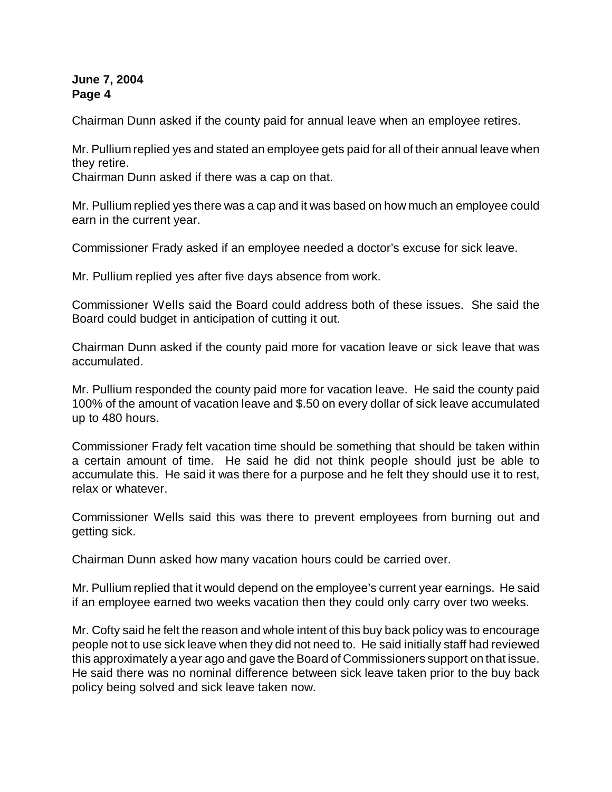Chairman Dunn asked if the county paid for annual leave when an employee retires.

Mr. Pullium replied yes and stated an employee gets paid for all of their annual leave when they retire.

Chairman Dunn asked if there was a cap on that.

Mr. Pullium replied yes there was a cap and it was based on how much an employee could earn in the current year.

Commissioner Frady asked if an employee needed a doctor's excuse for sick leave.

Mr. Pullium replied yes after five days absence from work.

Commissioner Wells said the Board could address both of these issues. She said the Board could budget in anticipation of cutting it out.

Chairman Dunn asked if the county paid more for vacation leave or sick leave that was accumulated.

Mr. Pullium responded the county paid more for vacation leave. He said the county paid 100% of the amount of vacation leave and \$.50 on every dollar of sick leave accumulated up to 480 hours.

Commissioner Frady felt vacation time should be something that should be taken within a certain amount of time. He said he did not think people should just be able to accumulate this. He said it was there for a purpose and he felt they should use it to rest, relax or whatever.

Commissioner Wells said this was there to prevent employees from burning out and getting sick.

Chairman Dunn asked how many vacation hours could be carried over.

Mr. Pullium replied that it would depend on the employee's current year earnings. He said if an employee earned two weeks vacation then they could only carry over two weeks.

Mr. Cofty said he felt the reason and whole intent of this buy back policy was to encourage people not to use sick leave when they did not need to. He said initially staff had reviewed this approximately a year ago and gave the Board of Commissioners support on that issue. He said there was no nominal difference between sick leave taken prior to the buy back policy being solved and sick leave taken now.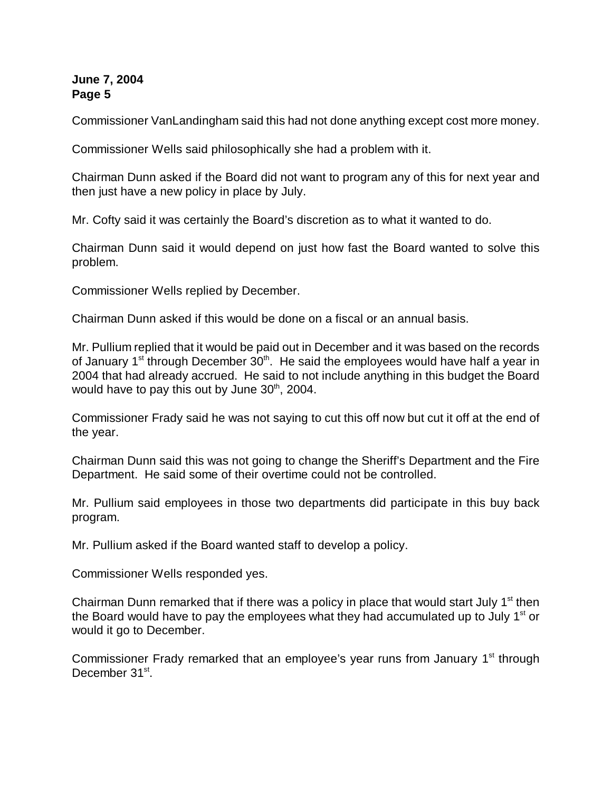Commissioner VanLandingham said this had not done anything except cost more money.

Commissioner Wells said philosophically she had a problem with it.

Chairman Dunn asked if the Board did not want to program any of this for next year and then just have a new policy in place by July.

Mr. Cofty said it was certainly the Board's discretion as to what it wanted to do.

Chairman Dunn said it would depend on just how fast the Board wanted to solve this problem.

Commissioner Wells replied by December.

Chairman Dunn asked if this would be done on a fiscal or an annual basis.

Mr. Pullium replied that it would be paid out in December and it was based on the records of January  $1<sup>st</sup>$  through December  $30<sup>th</sup>$ . He said the employees would have half a year in 2004 that had already accrued. He said to not include anything in this budget the Board would have to pay this out by June  $30<sup>th</sup>$ , 2004.

Commissioner Frady said he was not saying to cut this off now but cut it off at the end of the year.

Chairman Dunn said this was not going to change the Sheriff's Department and the Fire Department. He said some of their overtime could not be controlled.

Mr. Pullium said employees in those two departments did participate in this buy back program.

Mr. Pullium asked if the Board wanted staff to develop a policy.

Commissioner Wells responded yes.

Chairman Dunn remarked that if there was a policy in place that would start July  $1<sup>st</sup>$  then the Board would have to pay the employees what they had accumulated up to July  $1<sup>st</sup>$  or would it go to December.

Commissioner Frady remarked that an employee's year runs from January  $1<sup>st</sup>$  through December 31<sup>st</sup>.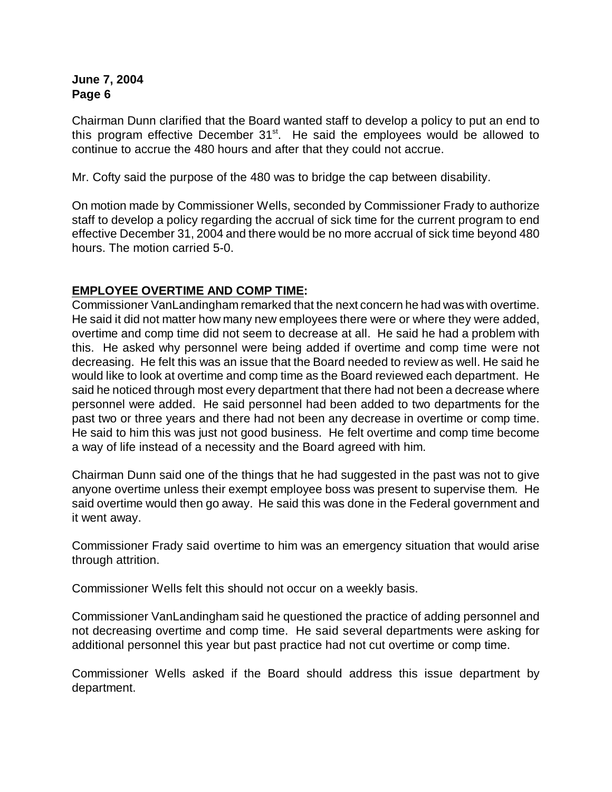Chairman Dunn clarified that the Board wanted staff to develop a policy to put an end to this program effective December  $31<sup>st</sup>$ . He said the employees would be allowed to continue to accrue the 480 hours and after that they could not accrue.

Mr. Cofty said the purpose of the 480 was to bridge the cap between disability.

On motion made by Commissioner Wells, seconded by Commissioner Frady to authorize staff to develop a policy regarding the accrual of sick time for the current program to end effective December 31, 2004 and there would be no more accrual of sick time beyond 480 hours. The motion carried 5-0.

## **EMPLOYEE OVERTIME AND COMP TIME:**

Commissioner VanLandingham remarked that the next concern he had was with overtime. He said it did not matter how many new employees there were or where they were added, overtime and comp time did not seem to decrease at all. He said he had a problem with this. He asked why personnel were being added if overtime and comp time were not decreasing. He felt this was an issue that the Board needed to review as well. He said he would like to look at overtime and comp time as the Board reviewed each department. He said he noticed through most every department that there had not been a decrease where personnel were added. He said personnel had been added to two departments for the past two or three years and there had not been any decrease in overtime or comp time. He said to him this was just not good business. He felt overtime and comp time become a way of life instead of a necessity and the Board agreed with him.

Chairman Dunn said one of the things that he had suggested in the past was not to give anyone overtime unless their exempt employee boss was present to supervise them. He said overtime would then go away. He said this was done in the Federal government and it went away.

Commissioner Frady said overtime to him was an emergency situation that would arise through attrition.

Commissioner Wells felt this should not occur on a weekly basis.

Commissioner VanLandingham said he questioned the practice of adding personnel and not decreasing overtime and comp time. He said several departments were asking for additional personnel this year but past practice had not cut overtime or comp time.

Commissioner Wells asked if the Board should address this issue department by department.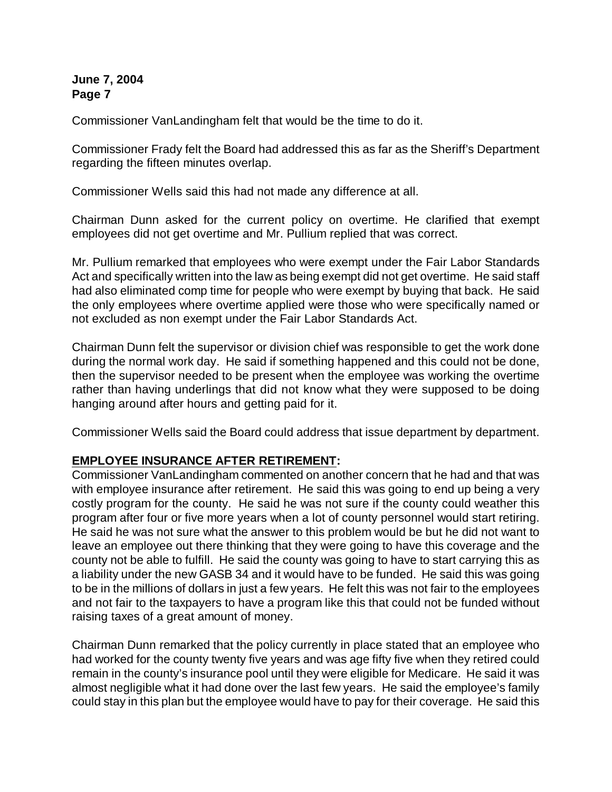Commissioner VanLandingham felt that would be the time to do it.

Commissioner Frady felt the Board had addressed this as far as the Sheriff's Department regarding the fifteen minutes overlap.

Commissioner Wells said this had not made any difference at all.

Chairman Dunn asked for the current policy on overtime. He clarified that exempt employees did not get overtime and Mr. Pullium replied that was correct.

Mr. Pullium remarked that employees who were exempt under the Fair Labor Standards Act and specifically written into the law as being exempt did not get overtime. He said staff had also eliminated comp time for people who were exempt by buying that back. He said the only employees where overtime applied were those who were specifically named or not excluded as non exempt under the Fair Labor Standards Act.

Chairman Dunn felt the supervisor or division chief was responsible to get the work done during the normal work day. He said if something happened and this could not be done, then the supervisor needed to be present when the employee was working the overtime rather than having underlings that did not know what they were supposed to be doing hanging around after hours and getting paid for it.

Commissioner Wells said the Board could address that issue department by department.

### **EMPLOYEE INSURANCE AFTER RETIREMENT:**

Commissioner VanLandingham commented on another concern that he had and that was with employee insurance after retirement. He said this was going to end up being a very costly program for the county. He said he was not sure if the county could weather this program after four or five more years when a lot of county personnel would start retiring. He said he was not sure what the answer to this problem would be but he did not want to leave an employee out there thinking that they were going to have this coverage and the county not be able to fulfill. He said the county was going to have to start carrying this as a liability under the new GASB 34 and it would have to be funded. He said this was going to be in the millions of dollars in just a few years. He felt this was not fair to the employees and not fair to the taxpayers to have a program like this that could not be funded without raising taxes of a great amount of money.

Chairman Dunn remarked that the policy currently in place stated that an employee who had worked for the county twenty five years and was age fifty five when they retired could remain in the county's insurance pool until they were eligible for Medicare. He said it was almost negligible what it had done over the last few years. He said the employee's family could stay in this plan but the employee would have to pay for their coverage. He said this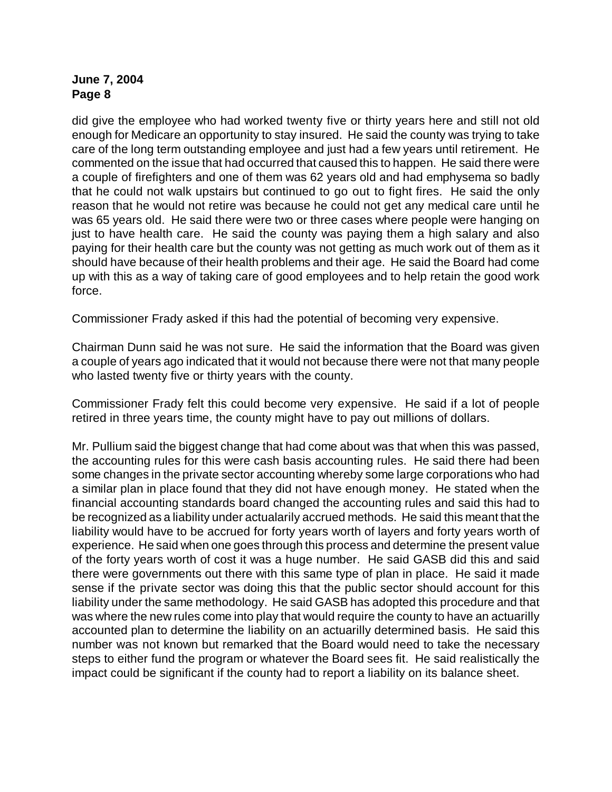did give the employee who had worked twenty five or thirty years here and still not old enough for Medicare an opportunity to stay insured. He said the county was trying to take care of the long term outstanding employee and just had a few years until retirement. He commented on the issue that had occurred that caused this to happen. He said there were a couple of firefighters and one of them was 62 years old and had emphysema so badly that he could not walk upstairs but continued to go out to fight fires. He said the only reason that he would not retire was because he could not get any medical care until he was 65 years old. He said there were two or three cases where people were hanging on just to have health care. He said the county was paying them a high salary and also paying for their health care but the county was not getting as much work out of them as it should have because of their health problems and their age. He said the Board had come up with this as a way of taking care of good employees and to help retain the good work force.

Commissioner Frady asked if this had the potential of becoming very expensive.

Chairman Dunn said he was not sure. He said the information that the Board was given a couple of years ago indicated that it would not because there were not that many people who lasted twenty five or thirty years with the county.

Commissioner Frady felt this could become very expensive. He said if a lot of people retired in three years time, the county might have to pay out millions of dollars.

Mr. Pullium said the biggest change that had come about was that when this was passed, the accounting rules for this were cash basis accounting rules. He said there had been some changes in the private sector accounting whereby some large corporations who had a similar plan in place found that they did not have enough money. He stated when the financial accounting standards board changed the accounting rules and said this had to be recognized as a liability under actualarily accrued methods. He said this meant that the liability would have to be accrued for forty years worth of layers and forty years worth of experience. He said when one goes through this process and determine the present value of the forty years worth of cost it was a huge number. He said GASB did this and said there were governments out there with this same type of plan in place. He said it made sense if the private sector was doing this that the public sector should account for this liability under the same methodology. He said GASB has adopted this procedure and that was where the new rules come into play that would require the county to have an actuarilly accounted plan to determine the liability on an actuarilly determined basis. He said this number was not known but remarked that the Board would need to take the necessary steps to either fund the program or whatever the Board sees fit. He said realistically the impact could be significant if the county had to report a liability on its balance sheet.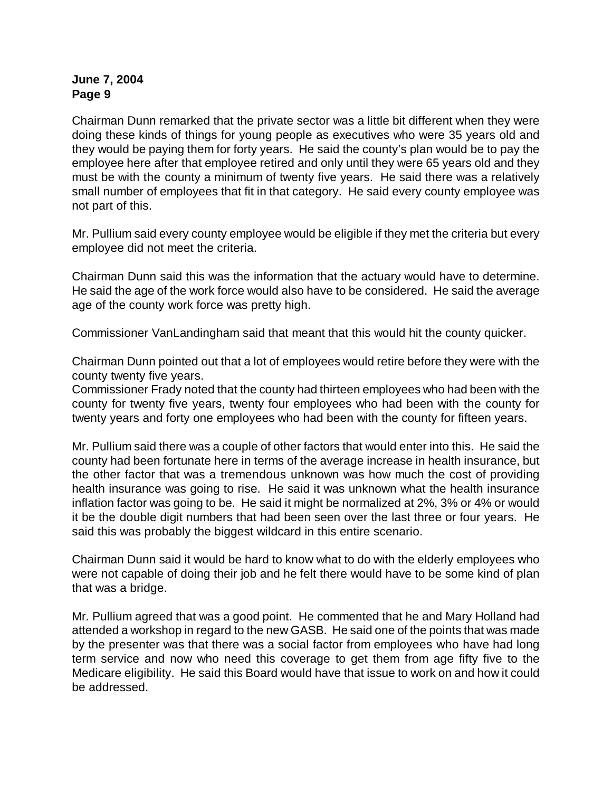Chairman Dunn remarked that the private sector was a little bit different when they were doing these kinds of things for young people as executives who were 35 years old and they would be paying them for forty years. He said the county's plan would be to pay the employee here after that employee retired and only until they were 65 years old and they must be with the county a minimum of twenty five years. He said there was a relatively small number of employees that fit in that category. He said every county employee was not part of this.

Mr. Pullium said every county employee would be eligible if they met the criteria but every employee did not meet the criteria.

Chairman Dunn said this was the information that the actuary would have to determine. He said the age of the work force would also have to be considered. He said the average age of the county work force was pretty high.

Commissioner VanLandingham said that meant that this would hit the county quicker.

Chairman Dunn pointed out that a lot of employees would retire before they were with the county twenty five years.

Commissioner Frady noted that the county had thirteen employees who had been with the county for twenty five years, twenty four employees who had been with the county for twenty years and forty one employees who had been with the county for fifteen years.

Mr. Pullium said there was a couple of other factors that would enter into this. He said the county had been fortunate here in terms of the average increase in health insurance, but the other factor that was a tremendous unknown was how much the cost of providing health insurance was going to rise. He said it was unknown what the health insurance inflation factor was going to be. He said it might be normalized at 2%, 3% or 4% or would it be the double digit numbers that had been seen over the last three or four years. He said this was probably the biggest wildcard in this entire scenario.

Chairman Dunn said it would be hard to know what to do with the elderly employees who were not capable of doing their job and he felt there would have to be some kind of plan that was a bridge.

Mr. Pullium agreed that was a good point. He commented that he and Mary Holland had attended a workshop in regard to the new GASB. He said one of the points that was made by the presenter was that there was a social factor from employees who have had long term service and now who need this coverage to get them from age fifty five to the Medicare eligibility. He said this Board would have that issue to work on and how it could be addressed.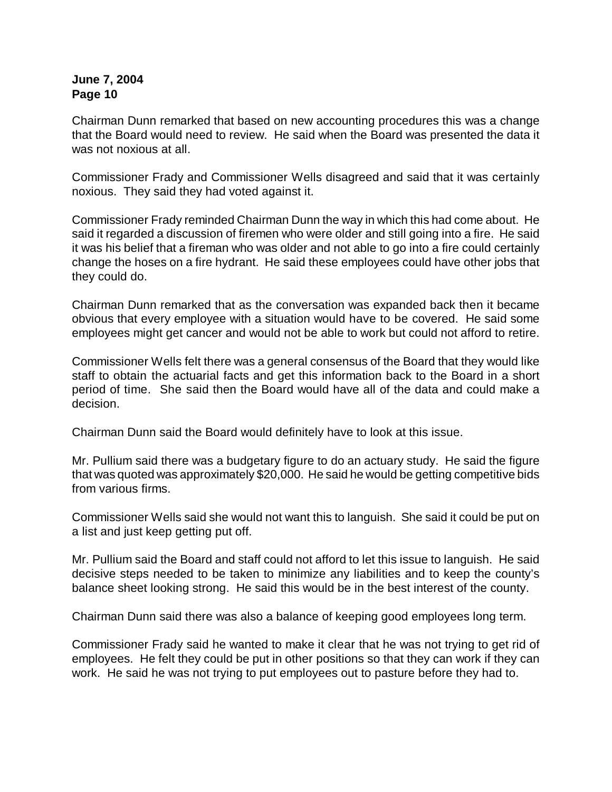Chairman Dunn remarked that based on new accounting procedures this was a change that the Board would need to review. He said when the Board was presented the data it was not noxious at all.

Commissioner Frady and Commissioner Wells disagreed and said that it was certainly noxious. They said they had voted against it.

Commissioner Frady reminded Chairman Dunn the way in which this had come about. He said it regarded a discussion of firemen who were older and still going into a fire. He said it was his belief that a fireman who was older and not able to go into a fire could certainly change the hoses on a fire hydrant. He said these employees could have other jobs that they could do.

Chairman Dunn remarked that as the conversation was expanded back then it became obvious that every employee with a situation would have to be covered. He said some employees might get cancer and would not be able to work but could not afford to retire.

Commissioner Wells felt there was a general consensus of the Board that they would like staff to obtain the actuarial facts and get this information back to the Board in a short period of time. She said then the Board would have all of the data and could make a decision.

Chairman Dunn said the Board would definitely have to look at this issue.

Mr. Pullium said there was a budgetary figure to do an actuary study. He said the figure that was quoted was approximately \$20,000. He said he would be getting competitive bids from various firms.

Commissioner Wells said she would not want this to languish. She said it could be put on a list and just keep getting put off.

Mr. Pullium said the Board and staff could not afford to let this issue to languish. He said decisive steps needed to be taken to minimize any liabilities and to keep the county's balance sheet looking strong. He said this would be in the best interest of the county.

Chairman Dunn said there was also a balance of keeping good employees long term.

Commissioner Frady said he wanted to make it clear that he was not trying to get rid of employees. He felt they could be put in other positions so that they can work if they can work. He said he was not trying to put employees out to pasture before they had to.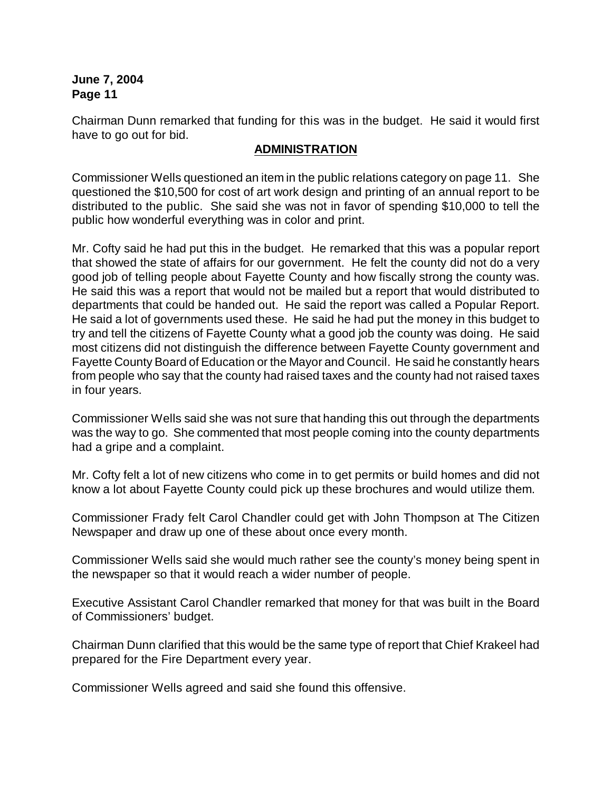Chairman Dunn remarked that funding for this was in the budget. He said it would first have to go out for bid.

#### **ADMINISTRATION**

Commissioner Wells questioned an item in the public relations category on page 11. She questioned the \$10,500 for cost of art work design and printing of an annual report to be distributed to the public. She said she was not in favor of spending \$10,000 to tell the public how wonderful everything was in color and print.

Mr. Cofty said he had put this in the budget. He remarked that this was a popular report that showed the state of affairs for our government. He felt the county did not do a very good job of telling people about Fayette County and how fiscally strong the county was. He said this was a report that would not be mailed but a report that would distributed to departments that could be handed out. He said the report was called a Popular Report. He said a lot of governments used these. He said he had put the money in this budget to try and tell the citizens of Fayette County what a good job the county was doing. He said most citizens did not distinguish the difference between Fayette County government and Fayette County Board of Education or the Mayor and Council. He said he constantly hears from people who say that the county had raised taxes and the county had not raised taxes in four years.

Commissioner Wells said she was not sure that handing this out through the departments was the way to go. She commented that most people coming into the county departments had a gripe and a complaint.

Mr. Cofty felt a lot of new citizens who come in to get permits or build homes and did not know a lot about Fayette County could pick up these brochures and would utilize them.

Commissioner Frady felt Carol Chandler could get with John Thompson at The Citizen Newspaper and draw up one of these about once every month.

Commissioner Wells said she would much rather see the county's money being spent in the newspaper so that it would reach a wider number of people.

Executive Assistant Carol Chandler remarked that money for that was built in the Board of Commissioners' budget.

Chairman Dunn clarified that this would be the same type of report that Chief Krakeel had prepared for the Fire Department every year.

Commissioner Wells agreed and said she found this offensive.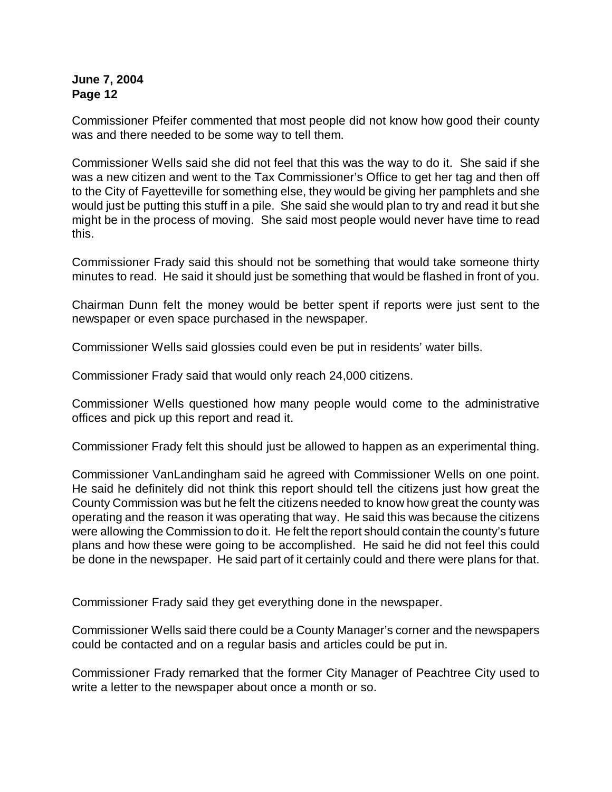Commissioner Pfeifer commented that most people did not know how good their county was and there needed to be some way to tell them.

Commissioner Wells said she did not feel that this was the way to do it. She said if she was a new citizen and went to the Tax Commissioner's Office to get her tag and then off to the City of Fayetteville for something else, they would be giving her pamphlets and she would just be putting this stuff in a pile. She said she would plan to try and read it but she might be in the process of moving. She said most people would never have time to read this.

Commissioner Frady said this should not be something that would take someone thirty minutes to read. He said it should just be something that would be flashed in front of you.

Chairman Dunn felt the money would be better spent if reports were just sent to the newspaper or even space purchased in the newspaper.

Commissioner Wells said glossies could even be put in residents' water bills.

Commissioner Frady said that would only reach 24,000 citizens.

Commissioner Wells questioned how many people would come to the administrative offices and pick up this report and read it.

Commissioner Frady felt this should just be allowed to happen as an experimental thing.

Commissioner VanLandingham said he agreed with Commissioner Wells on one point. He said he definitely did not think this report should tell the citizens just how great the County Commission was but he felt the citizens needed to know how great the county was operating and the reason it was operating that way. He said this was because the citizens were allowing the Commission to do it. He felt the report should contain the county's future plans and how these were going to be accomplished. He said he did not feel this could be done in the newspaper. He said part of it certainly could and there were plans for that.

Commissioner Frady said they get everything done in the newspaper.

Commissioner Wells said there could be a County Manager's corner and the newspapers could be contacted and on a regular basis and articles could be put in.

Commissioner Frady remarked that the former City Manager of Peachtree City used to write a letter to the newspaper about once a month or so.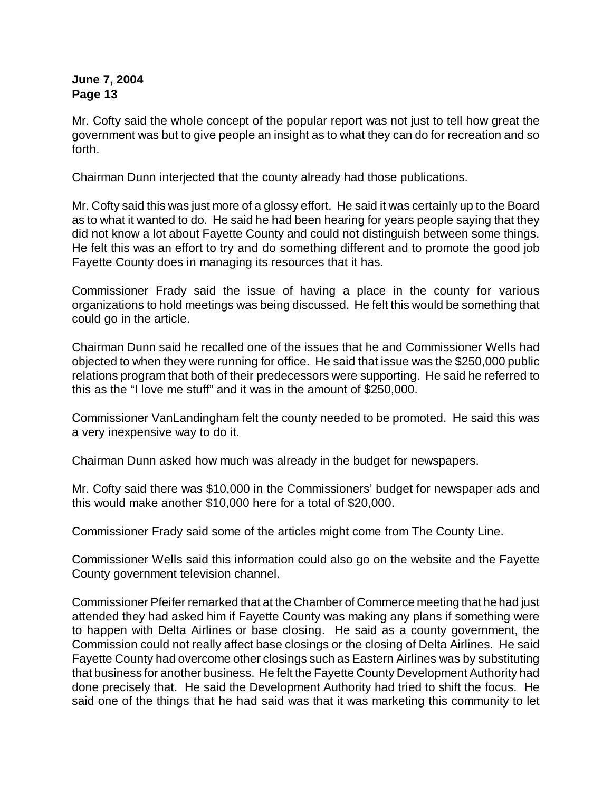Mr. Cofty said the whole concept of the popular report was not just to tell how great the government was but to give people an insight as to what they can do for recreation and so forth.

Chairman Dunn interjected that the county already had those publications.

Mr. Cofty said this was just more of a glossy effort. He said it was certainly up to the Board as to what it wanted to do. He said he had been hearing for years people saying that they did not know a lot about Fayette County and could not distinguish between some things. He felt this was an effort to try and do something different and to promote the good job Fayette County does in managing its resources that it has.

Commissioner Frady said the issue of having a place in the county for various organizations to hold meetings was being discussed. He felt this would be something that could go in the article.

Chairman Dunn said he recalled one of the issues that he and Commissioner Wells had objected to when they were running for office. He said that issue was the \$250,000 public relations program that both of their predecessors were supporting. He said he referred to this as the "I love me stuff" and it was in the amount of \$250,000.

Commissioner VanLandingham felt the county needed to be promoted. He said this was a very inexpensive way to do it.

Chairman Dunn asked how much was already in the budget for newspapers.

Mr. Cofty said there was \$10,000 in the Commissioners' budget for newspaper ads and this would make another \$10,000 here for a total of \$20,000.

Commissioner Frady said some of the articles might come from The County Line.

Commissioner Wells said this information could also go on the website and the Fayette County government television channel.

Commissioner Pfeifer remarked that at the Chamber of Commerce meeting that he had just attended they had asked him if Fayette County was making any plans if something were to happen with Delta Airlines or base closing. He said as a county government, the Commission could not really affect base closings or the closing of Delta Airlines. He said Fayette County had overcome other closings such as Eastern Airlines was by substituting that business for another business. He felt the Fayette County Development Authority had done precisely that. He said the Development Authority had tried to shift the focus. He said one of the things that he had said was that it was marketing this community to let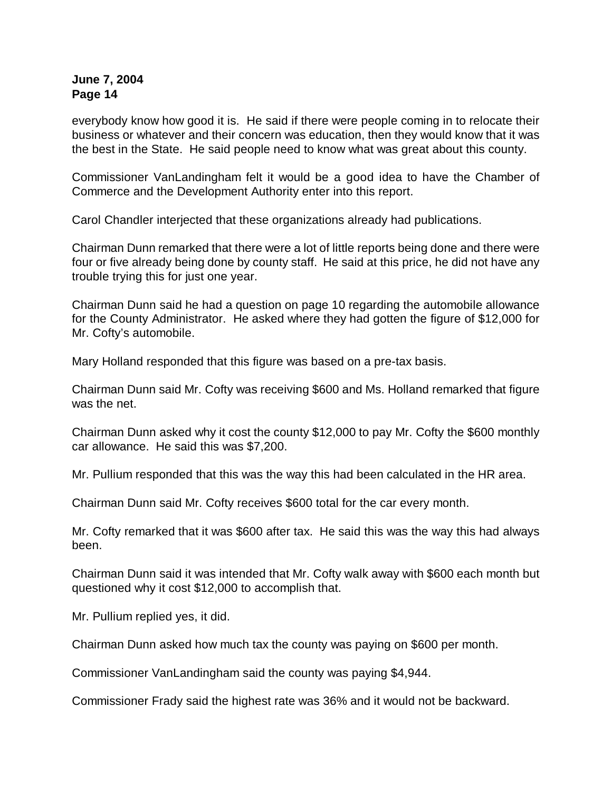everybody know how good it is. He said if there were people coming in to relocate their business or whatever and their concern was education, then they would know that it was the best in the State. He said people need to know what was great about this county.

Commissioner VanLandingham felt it would be a good idea to have the Chamber of Commerce and the Development Authority enter into this report.

Carol Chandler interjected that these organizations already had publications.

Chairman Dunn remarked that there were a lot of little reports being done and there were four or five already being done by county staff. He said at this price, he did not have any trouble trying this for just one year.

Chairman Dunn said he had a question on page 10 regarding the automobile allowance for the County Administrator. He asked where they had gotten the figure of \$12,000 for Mr. Cofty's automobile.

Mary Holland responded that this figure was based on a pre-tax basis.

Chairman Dunn said Mr. Cofty was receiving \$600 and Ms. Holland remarked that figure was the net.

Chairman Dunn asked why it cost the county \$12,000 to pay Mr. Cofty the \$600 monthly car allowance. He said this was \$7,200.

Mr. Pullium responded that this was the way this had been calculated in the HR area.

Chairman Dunn said Mr. Cofty receives \$600 total for the car every month.

Mr. Cofty remarked that it was \$600 after tax. He said this was the way this had always been.

Chairman Dunn said it was intended that Mr. Cofty walk away with \$600 each month but questioned why it cost \$12,000 to accomplish that.

Mr. Pullium replied yes, it did.

Chairman Dunn asked how much tax the county was paying on \$600 per month.

Commissioner VanLandingham said the county was paying \$4,944.

Commissioner Frady said the highest rate was 36% and it would not be backward.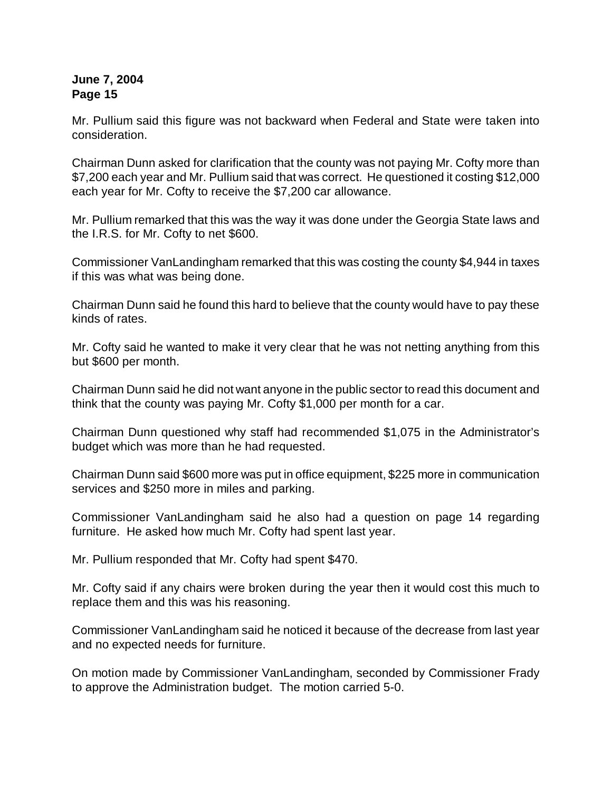Mr. Pullium said this figure was not backward when Federal and State were taken into consideration.

Chairman Dunn asked for clarification that the county was not paying Mr. Cofty more than \$7,200 each year and Mr. Pullium said that was correct. He questioned it costing \$12,000 each year for Mr. Cofty to receive the \$7,200 car allowance.

Mr. Pullium remarked that this was the way it was done under the Georgia State laws and the I.R.S. for Mr. Cofty to net \$600.

Commissioner VanLandingham remarked that this was costing the county \$4,944 in taxes if this was what was being done.

Chairman Dunn said he found this hard to believe that the county would have to pay these kinds of rates.

Mr. Cofty said he wanted to make it very clear that he was not netting anything from this but \$600 per month.

Chairman Dunn said he did not want anyone in the public sector to read this document and think that the county was paying Mr. Cofty \$1,000 per month for a car.

Chairman Dunn questioned why staff had recommended \$1,075 in the Administrator's budget which was more than he had requested.

Chairman Dunn said \$600 more was put in office equipment, \$225 more in communication services and \$250 more in miles and parking.

Commissioner VanLandingham said he also had a question on page 14 regarding furniture. He asked how much Mr. Cofty had spent last year.

Mr. Pullium responded that Mr. Cofty had spent \$470.

Mr. Cofty said if any chairs were broken during the year then it would cost this much to replace them and this was his reasoning.

Commissioner VanLandingham said he noticed it because of the decrease from last year and no expected needs for furniture.

On motion made by Commissioner VanLandingham, seconded by Commissioner Frady to approve the Administration budget. The motion carried 5-0.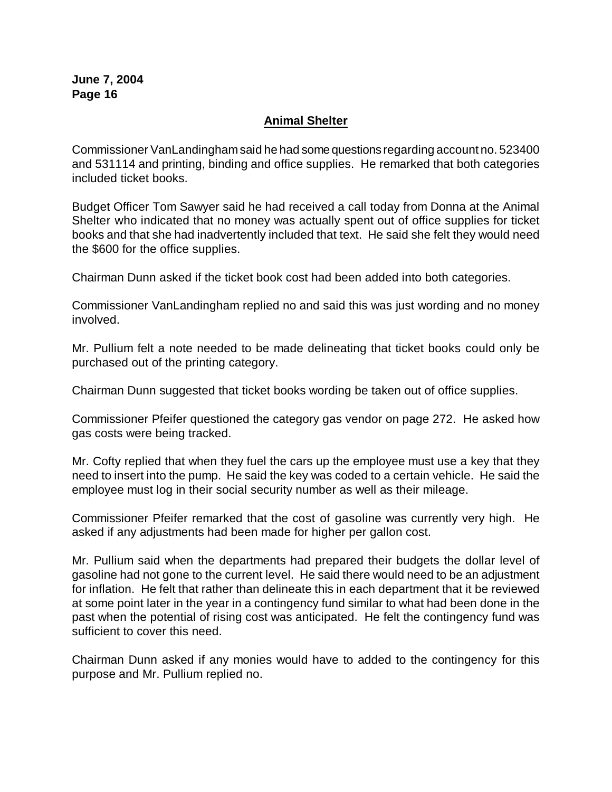## **Animal Shelter**

Commissioner VanLandingham said he had some questions regarding account no. 523400 and 531114 and printing, binding and office supplies. He remarked that both categories included ticket books.

Budget Officer Tom Sawyer said he had received a call today from Donna at the Animal Shelter who indicated that no money was actually spent out of office supplies for ticket books and that she had inadvertently included that text. He said she felt they would need the \$600 for the office supplies.

Chairman Dunn asked if the ticket book cost had been added into both categories.

Commissioner VanLandingham replied no and said this was just wording and no money involved.

Mr. Pullium felt a note needed to be made delineating that ticket books could only be purchased out of the printing category.

Chairman Dunn suggested that ticket books wording be taken out of office supplies.

Commissioner Pfeifer questioned the category gas vendor on page 272. He asked how gas costs were being tracked.

Mr. Cofty replied that when they fuel the cars up the employee must use a key that they need to insert into the pump. He said the key was coded to a certain vehicle. He said the employee must log in their social security number as well as their mileage.

Commissioner Pfeifer remarked that the cost of gasoline was currently very high. He asked if any adjustments had been made for higher per gallon cost.

Mr. Pullium said when the departments had prepared their budgets the dollar level of gasoline had not gone to the current level. He said there would need to be an adjustment for inflation. He felt that rather than delineate this in each department that it be reviewed at some point later in the year in a contingency fund similar to what had been done in the past when the potential of rising cost was anticipated. He felt the contingency fund was sufficient to cover this need.

Chairman Dunn asked if any monies would have to added to the contingency for this purpose and Mr. Pullium replied no.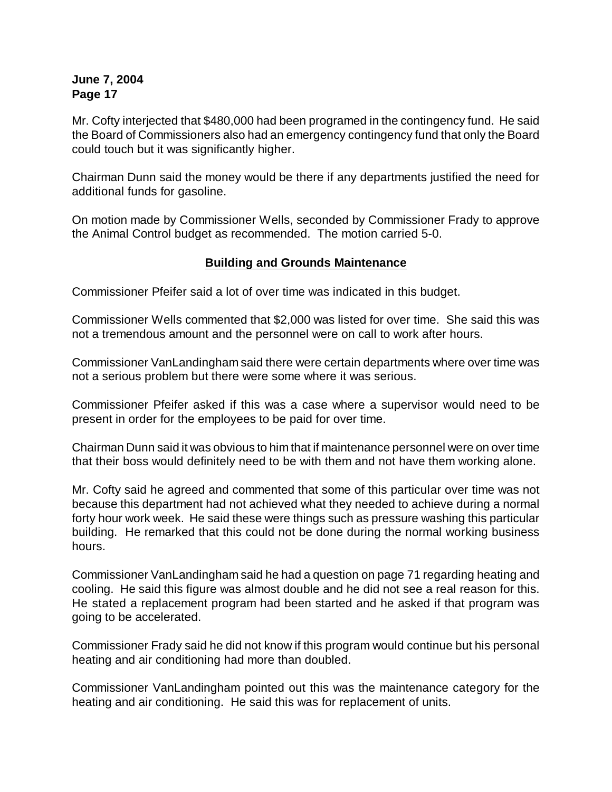Mr. Cofty interjected that \$480,000 had been programed in the contingency fund. He said the Board of Commissioners also had an emergency contingency fund that only the Board could touch but it was significantly higher.

Chairman Dunn said the money would be there if any departments justified the need for additional funds for gasoline.

On motion made by Commissioner Wells, seconded by Commissioner Frady to approve the Animal Control budget as recommended. The motion carried 5-0.

## **Building and Grounds Maintenance**

Commissioner Pfeifer said a lot of over time was indicated in this budget.

Commissioner Wells commented that \$2,000 was listed for over time. She said this was not a tremendous amount and the personnel were on call to work after hours.

Commissioner VanLandingham said there were certain departments where over time was not a serious problem but there were some where it was serious.

Commissioner Pfeifer asked if this was a case where a supervisor would need to be present in order for the employees to be paid for over time.

Chairman Dunn said it was obvious to him that if maintenance personnel were on over time that their boss would definitely need to be with them and not have them working alone.

Mr. Cofty said he agreed and commented that some of this particular over time was not because this department had not achieved what they needed to achieve during a normal forty hour work week. He said these were things such as pressure washing this particular building. He remarked that this could not be done during the normal working business hours.

Commissioner VanLandingham said he had a question on page 71 regarding heating and cooling. He said this figure was almost double and he did not see a real reason for this. He stated a replacement program had been started and he asked if that program was going to be accelerated.

Commissioner Frady said he did not know if this program would continue but his personal heating and air conditioning had more than doubled.

Commissioner VanLandingham pointed out this was the maintenance category for the heating and air conditioning. He said this was for replacement of units.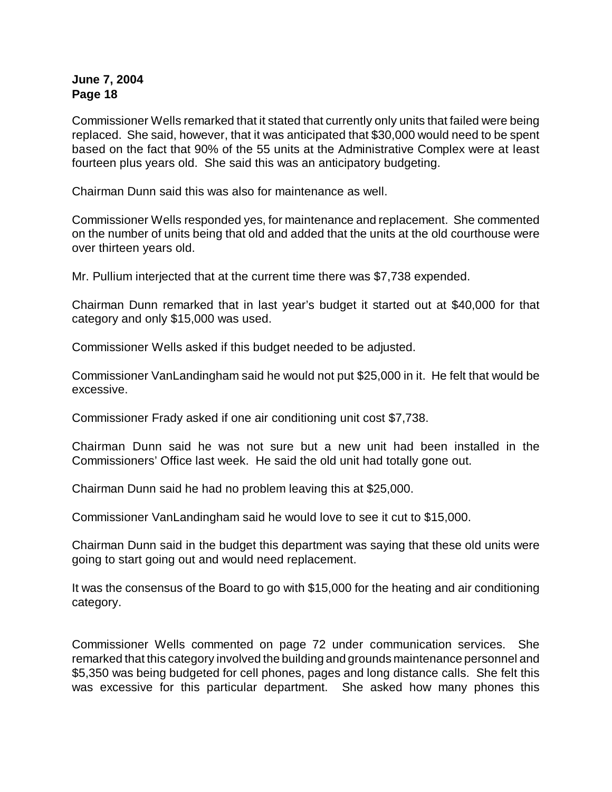Commissioner Wells remarked that it stated that currently only units that failed were being replaced. She said, however, that it was anticipated that \$30,000 would need to be spent based on the fact that 90% of the 55 units at the Administrative Complex were at least fourteen plus years old. She said this was an anticipatory budgeting.

Chairman Dunn said this was also for maintenance as well.

Commissioner Wells responded yes, for maintenance and replacement. She commented on the number of units being that old and added that the units at the old courthouse were over thirteen years old.

Mr. Pullium interjected that at the current time there was \$7,738 expended.

Chairman Dunn remarked that in last year's budget it started out at \$40,000 for that category and only \$15,000 was used.

Commissioner Wells asked if this budget needed to be adjusted.

Commissioner VanLandingham said he would not put \$25,000 in it. He felt that would be excessive.

Commissioner Frady asked if one air conditioning unit cost \$7,738.

Chairman Dunn said he was not sure but a new unit had been installed in the Commissioners' Office last week. He said the old unit had totally gone out.

Chairman Dunn said he had no problem leaving this at \$25,000.

Commissioner VanLandingham said he would love to see it cut to \$15,000.

Chairman Dunn said in the budget this department was saying that these old units were going to start going out and would need replacement.

It was the consensus of the Board to go with \$15,000 for the heating and air conditioning category.

Commissioner Wells commented on page 72 under communication services. She remarked that this category involved the building and grounds maintenance personnel and \$5,350 was being budgeted for cell phones, pages and long distance calls. She felt this was excessive for this particular department. She asked how many phones this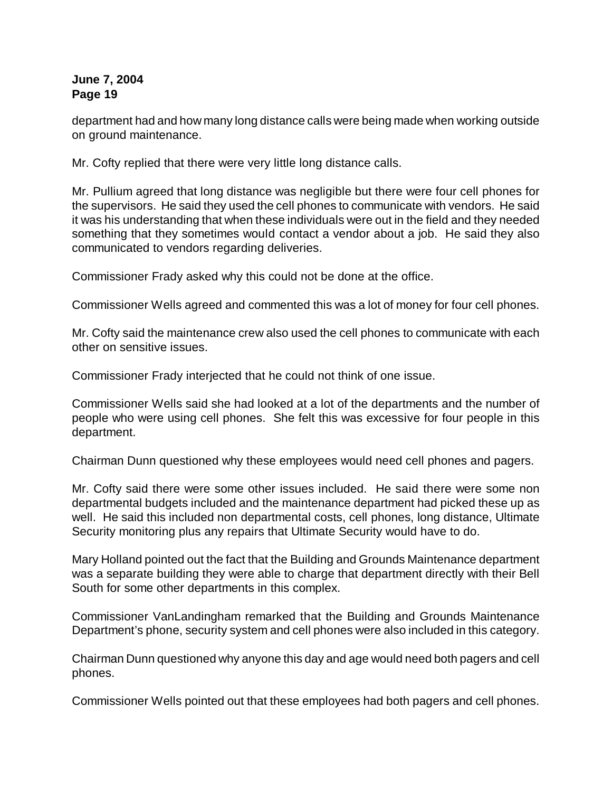department had and how many long distance calls were being made when working outside on ground maintenance.

Mr. Cofty replied that there were very little long distance calls.

Mr. Pullium agreed that long distance was negligible but there were four cell phones for the supervisors. He said they used the cell phones to communicate with vendors. He said it was his understanding that when these individuals were out in the field and they needed something that they sometimes would contact a vendor about a job. He said they also communicated to vendors regarding deliveries.

Commissioner Frady asked why this could not be done at the office.

Commissioner Wells agreed and commented this was a lot of money for four cell phones.

Mr. Cofty said the maintenance crew also used the cell phones to communicate with each other on sensitive issues.

Commissioner Frady interjected that he could not think of one issue.

Commissioner Wells said she had looked at a lot of the departments and the number of people who were using cell phones. She felt this was excessive for four people in this department.

Chairman Dunn questioned why these employees would need cell phones and pagers.

Mr. Cofty said there were some other issues included. He said there were some non departmental budgets included and the maintenance department had picked these up as well. He said this included non departmental costs, cell phones, long distance, Ultimate Security monitoring plus any repairs that Ultimate Security would have to do.

Mary Holland pointed out the fact that the Building and Grounds Maintenance department was a separate building they were able to charge that department directly with their Bell South for some other departments in this complex.

Commissioner VanLandingham remarked that the Building and Grounds Maintenance Department's phone, security system and cell phones were also included in this category.

Chairman Dunn questioned why anyone this day and age would need both pagers and cell phones.

Commissioner Wells pointed out that these employees had both pagers and cell phones.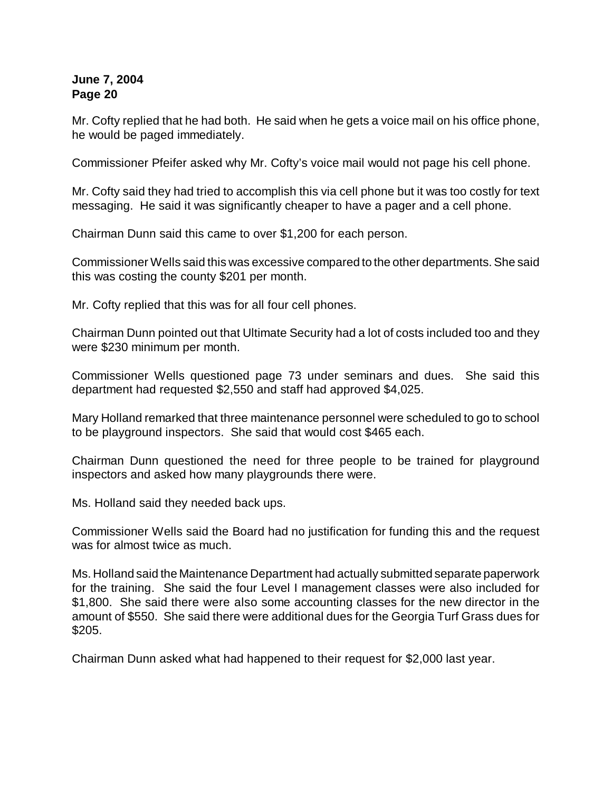Mr. Cofty replied that he had both. He said when he gets a voice mail on his office phone, he would be paged immediately.

Commissioner Pfeifer asked why Mr. Cofty's voice mail would not page his cell phone.

Mr. Cofty said they had tried to accomplish this via cell phone but it was too costly for text messaging. He said it was significantly cheaper to have a pager and a cell phone.

Chairman Dunn said this came to over \$1,200 for each person.

Commissioner Wells said this was excessive compared to the other departments. She said this was costing the county \$201 per month.

Mr. Cofty replied that this was for all four cell phones.

Chairman Dunn pointed out that Ultimate Security had a lot of costs included too and they were \$230 minimum per month.

Commissioner Wells questioned page 73 under seminars and dues. She said this department had requested \$2,550 and staff had approved \$4,025.

Mary Holland remarked that three maintenance personnel were scheduled to go to school to be playground inspectors. She said that would cost \$465 each.

Chairman Dunn questioned the need for three people to be trained for playground inspectors and asked how many playgrounds there were.

Ms. Holland said they needed back ups.

Commissioner Wells said the Board had no justification for funding this and the request was for almost twice as much.

Ms. Holland said the Maintenance Department had actually submitted separate paperwork for the training. She said the four Level I management classes were also included for \$1,800. She said there were also some accounting classes for the new director in the amount of \$550. She said there were additional dues for the Georgia Turf Grass dues for \$205.

Chairman Dunn asked what had happened to their request for \$2,000 last year.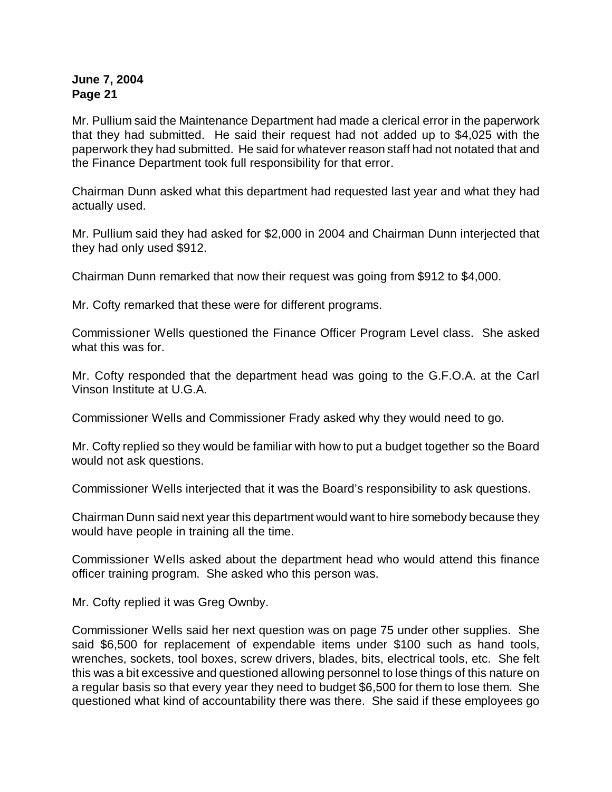Mr. Pullium said the Maintenance Department had made a clerical error in the paperwork that they had submitted. He said their request had not added up to \$4,025 with the paperwork they had submitted. He said for whatever reason staff had not notated that and the Finance Department took full responsibility for that error.

Chairman Dunn asked what this department had requested last year and what they had actually used.

Mr. Pullium said they had asked for \$2,000 in 2004 and Chairman Dunn interjected that they had only used \$912.

Chairman Dunn remarked that now their request was going from \$912 to \$4,000.

Mr. Cofty remarked that these were for different programs.

Commissioner Wells questioned the Finance Officer Program Level class. She asked what this was for.

Mr. Cofty responded that the department head was going to the G.F.O.A. at the Carl Vinson Institute at U.G.A.

Commissioner Wells and Commissioner Frady asked why they would need to go.

Mr. Cofty replied so they would be familiar with how to put a budget together so the Board would not ask questions.

Commissioner Wells interjected that it was the Board's responsibility to ask questions.

Chairman Dunn said next year this department would want to hire somebody because they would have people in training all the time.

Commissioner Wells asked about the department head who would attend this finance officer training program. She asked who this person was.

Mr. Cofty replied it was Greg Ownby.

Commissioner Wells said her next question was on page 75 under other supplies. She said \$6,500 for replacement of expendable items under \$100 such as hand tools, wrenches, sockets, tool boxes, screw drivers, blades, bits, electrical tools, etc. She felt this was a bit excessive and questioned allowing personnel to lose things of this nature on a regular basis so that every year they need to budget \$6,500 for them to lose them. She questioned what kind of accountability there was there. She said if these employees go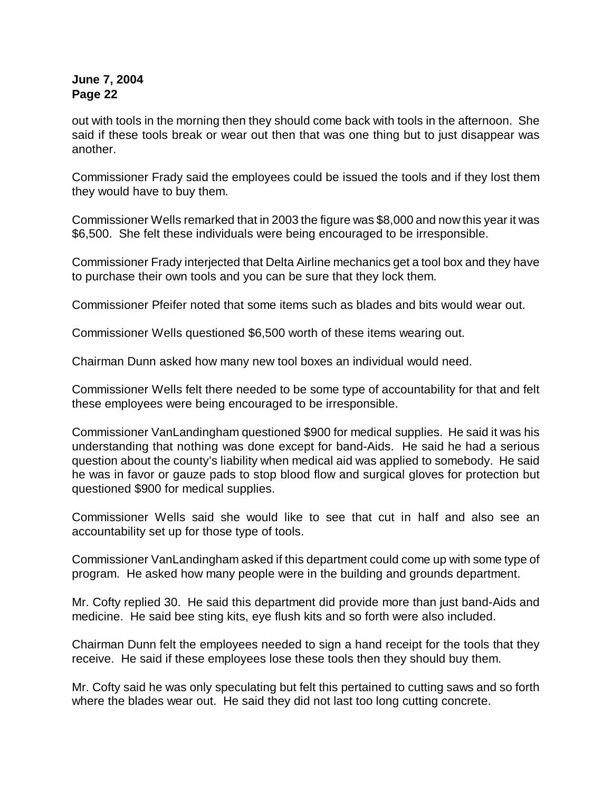out with tools in the morning then they should come back with tools in the afternoon. She said if these tools break or wear out then that was one thing but to just disappear was another.

Commissioner Frady said the employees could be issued the tools and if they lost them they would have to buy them.

Commissioner Wells remarked that in 2003 the figure was \$8,000 and now this year it was \$6,500. She felt these individuals were being encouraged to be irresponsible.

Commissioner Frady interjected that Delta Airline mechanics get a tool box and they have to purchase their own tools and you can be sure that they lock them.

Commissioner Pfeifer noted that some items such as blades and bits would wear out.

Commissioner Wells questioned \$6,500 worth of these items wearing out.

Chairman Dunn asked how many new tool boxes an individual would need.

Commissioner Wells felt there needed to be some type of accountability for that and felt these employees were being encouraged to be irresponsible.

Commissioner VanLandingham questioned \$900 for medical supplies. He said it was his understanding that nothing was done except for band-Aids. He said he had a serious question about the county's liability when medical aid was applied to somebody. He said he was in favor or gauze pads to stop blood flow and surgical gloves for protection but questioned \$900 for medical supplies.

Commissioner Wells said she would like to see that cut in half and also see an accountability set up for those type of tools.

Commissioner VanLandingham asked if this department could come up with some type of program. He asked how many people were in the building and grounds department.

Mr. Cofty replied 30. He said this department did provide more than just band-Aids and medicine. He said bee sting kits, eye flush kits and so forth were also included.

Chairman Dunn felt the employees needed to sign a hand receipt for the tools that they receive. He said if these employees lose these tools then they should buy them.

Mr. Cofty said he was only speculating but felt this pertained to cutting saws and so forth where the blades wear out. He said they did not last too long cutting concrete.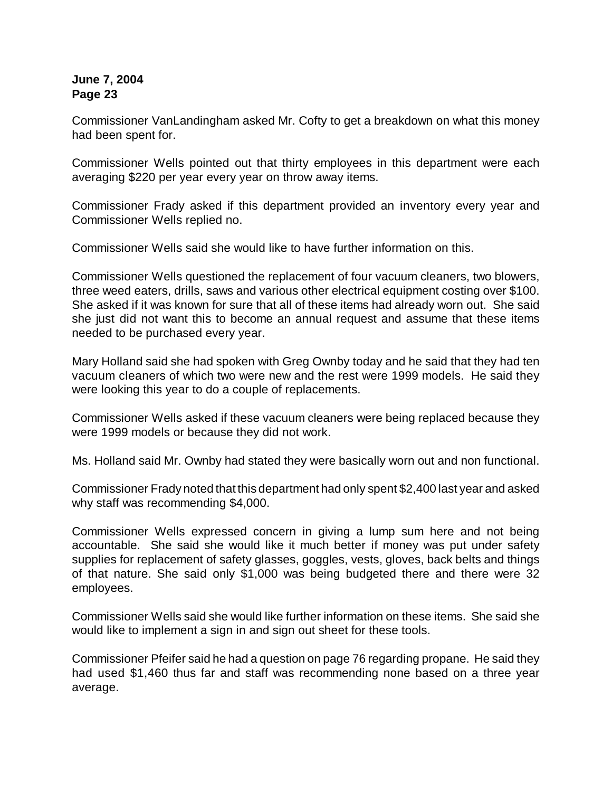Commissioner VanLandingham asked Mr. Cofty to get a breakdown on what this money had been spent for.

Commissioner Wells pointed out that thirty employees in this department were each averaging \$220 per year every year on throw away items.

Commissioner Frady asked if this department provided an inventory every year and Commissioner Wells replied no.

Commissioner Wells said she would like to have further information on this.

Commissioner Wells questioned the replacement of four vacuum cleaners, two blowers, three weed eaters, drills, saws and various other electrical equipment costing over \$100. She asked if it was known for sure that all of these items had already worn out. She said she just did not want this to become an annual request and assume that these items needed to be purchased every year.

Mary Holland said she had spoken with Greg Ownby today and he said that they had ten vacuum cleaners of which two were new and the rest were 1999 models. He said they were looking this year to do a couple of replacements.

Commissioner Wells asked if these vacuum cleaners were being replaced because they were 1999 models or because they did not work.

Ms. Holland said Mr. Ownby had stated they were basically worn out and non functional.

Commissioner Frady noted that this department had only spent \$2,400 last year and asked why staff was recommending \$4,000.

Commissioner Wells expressed concern in giving a lump sum here and not being accountable. She said she would like it much better if money was put under safety supplies for replacement of safety glasses, goggles, vests, gloves, back belts and things of that nature. She said only \$1,000 was being budgeted there and there were 32 employees.

Commissioner Wells said she would like further information on these items. She said she would like to implement a sign in and sign out sheet for these tools.

Commissioner Pfeifer said he had a question on page 76 regarding propane. He said they had used \$1,460 thus far and staff was recommending none based on a three year average.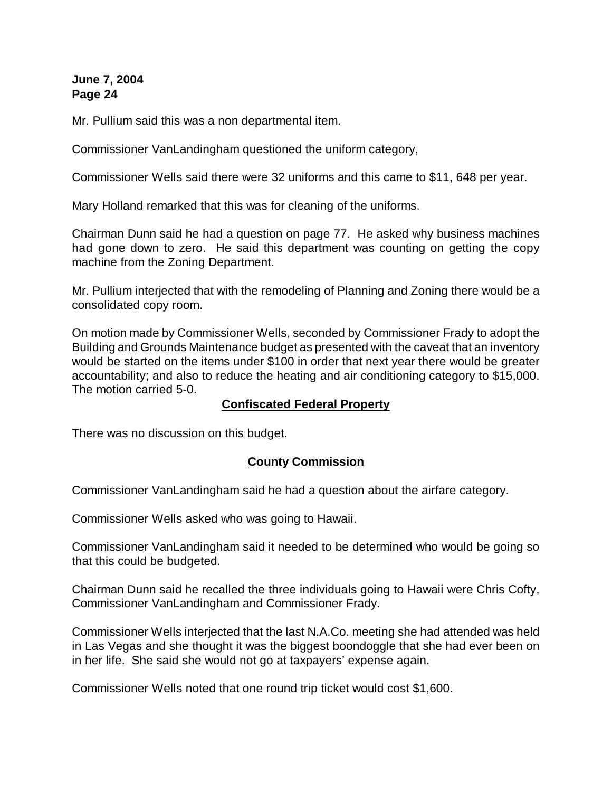Mr. Pullium said this was a non departmental item.

Commissioner VanLandingham questioned the uniform category,

Commissioner Wells said there were 32 uniforms and this came to \$11, 648 per year.

Mary Holland remarked that this was for cleaning of the uniforms.

Chairman Dunn said he had a question on page 77. He asked why business machines had gone down to zero. He said this department was counting on getting the copy machine from the Zoning Department.

Mr. Pullium interjected that with the remodeling of Planning and Zoning there would be a consolidated copy room.

On motion made by Commissioner Wells, seconded by Commissioner Frady to adopt the Building and Grounds Maintenance budget as presented with the caveat that an inventory would be started on the items under \$100 in order that next year there would be greater accountability; and also to reduce the heating and air conditioning category to \$15,000. The motion carried 5-0.

### **Confiscated Federal Property**

There was no discussion on this budget.

## **County Commission**

Commissioner VanLandingham said he had a question about the airfare category.

Commissioner Wells asked who was going to Hawaii.

Commissioner VanLandingham said it needed to be determined who would be going so that this could be budgeted.

Chairman Dunn said he recalled the three individuals going to Hawaii were Chris Cofty, Commissioner VanLandingham and Commissioner Frady.

Commissioner Wells interjected that the last N.A.Co. meeting she had attended was held in Las Vegas and she thought it was the biggest boondoggle that she had ever been on in her life. She said she would not go at taxpayers' expense again.

Commissioner Wells noted that one round trip ticket would cost \$1,600.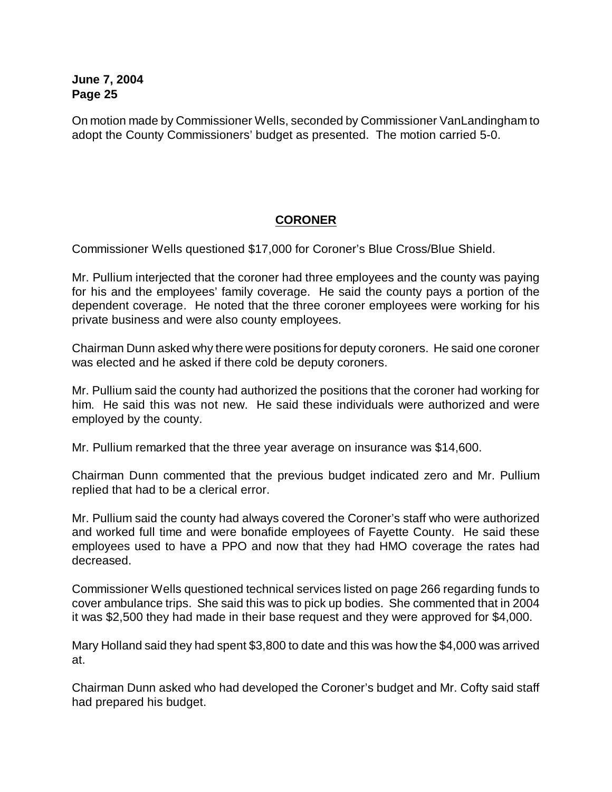On motion made by Commissioner Wells, seconded by Commissioner VanLandingham to adopt the County Commissioners' budget as presented. The motion carried 5-0.

# **CORONER**

Commissioner Wells questioned \$17,000 for Coroner's Blue Cross/Blue Shield.

Mr. Pullium interjected that the coroner had three employees and the county was paying for his and the employees' family coverage. He said the county pays a portion of the dependent coverage. He noted that the three coroner employees were working for his private business and were also county employees.

Chairman Dunn asked why there were positions for deputy coroners. He said one coroner was elected and he asked if there cold be deputy coroners.

Mr. Pullium said the county had authorized the positions that the coroner had working for him. He said this was not new. He said these individuals were authorized and were employed by the county.

Mr. Pullium remarked that the three year average on insurance was \$14,600.

Chairman Dunn commented that the previous budget indicated zero and Mr. Pullium replied that had to be a clerical error.

Mr. Pullium said the county had always covered the Coroner's staff who were authorized and worked full time and were bonafide employees of Fayette County. He said these employees used to have a PPO and now that they had HMO coverage the rates had decreased.

Commissioner Wells questioned technical services listed on page 266 regarding funds to cover ambulance trips. She said this was to pick up bodies. She commented that in 2004 it was \$2,500 they had made in their base request and they were approved for \$4,000.

Mary Holland said they had spent \$3,800 to date and this was how the \$4,000 was arrived at.

Chairman Dunn asked who had developed the Coroner's budget and Mr. Cofty said staff had prepared his budget.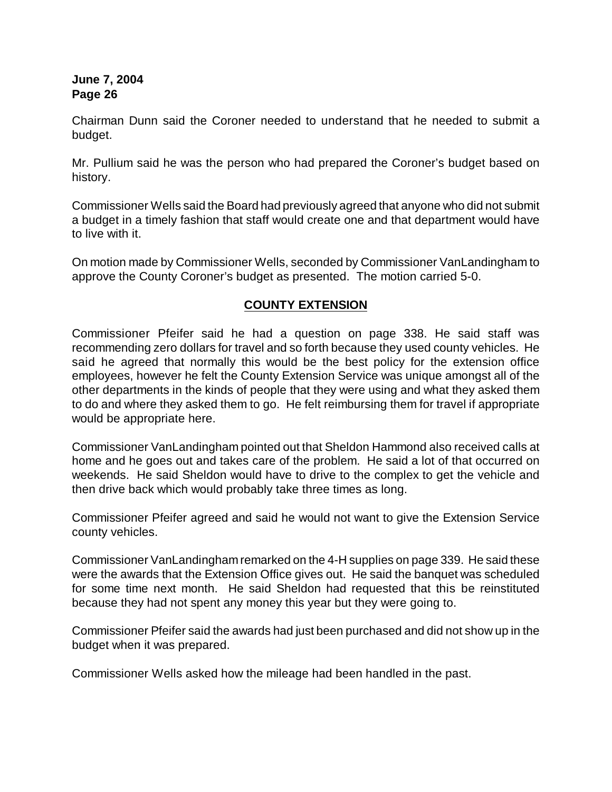Chairman Dunn said the Coroner needed to understand that he needed to submit a budget.

Mr. Pullium said he was the person who had prepared the Coroner's budget based on history.

Commissioner Wells said the Board had previously agreed that anyone who did not submit a budget in a timely fashion that staff would create one and that department would have to live with it.

On motion made by Commissioner Wells, seconded by Commissioner VanLandingham to approve the County Coroner's budget as presented. The motion carried 5-0.

## **COUNTY EXTENSION**

Commissioner Pfeifer said he had a question on page 338. He said staff was recommending zero dollars for travel and so forth because they used county vehicles. He said he agreed that normally this would be the best policy for the extension office employees, however he felt the County Extension Service was unique amongst all of the other departments in the kinds of people that they were using and what they asked them to do and where they asked them to go. He felt reimbursing them for travel if appropriate would be appropriate here.

Commissioner VanLandingham pointed out that Sheldon Hammond also received calls at home and he goes out and takes care of the problem. He said a lot of that occurred on weekends. He said Sheldon would have to drive to the complex to get the vehicle and then drive back which would probably take three times as long.

Commissioner Pfeifer agreed and said he would not want to give the Extension Service county vehicles.

Commissioner VanLandingham remarked on the 4-H supplies on page 339. He said these were the awards that the Extension Office gives out. He said the banquet was scheduled for some time next month. He said Sheldon had requested that this be reinstituted because they had not spent any money this year but they were going to.

Commissioner Pfeifer said the awards had just been purchased and did not show up in the budget when it was prepared.

Commissioner Wells asked how the mileage had been handled in the past.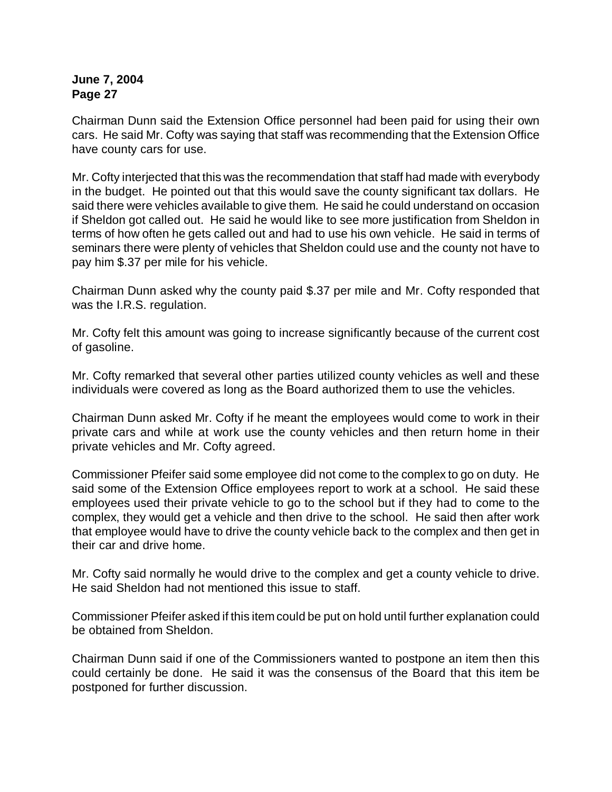Chairman Dunn said the Extension Office personnel had been paid for using their own cars. He said Mr. Cofty was saying that staff was recommending that the Extension Office have county cars for use.

Mr. Cofty interjected that this was the recommendation that staff had made with everybody in the budget. He pointed out that this would save the county significant tax dollars. He said there were vehicles available to give them. He said he could understand on occasion if Sheldon got called out. He said he would like to see more justification from Sheldon in terms of how often he gets called out and had to use his own vehicle. He said in terms of seminars there were plenty of vehicles that Sheldon could use and the county not have to pay him \$.37 per mile for his vehicle.

Chairman Dunn asked why the county paid \$.37 per mile and Mr. Cofty responded that was the I.R.S. regulation.

Mr. Cofty felt this amount was going to increase significantly because of the current cost of gasoline.

Mr. Cofty remarked that several other parties utilized county vehicles as well and these individuals were covered as long as the Board authorized them to use the vehicles.

Chairman Dunn asked Mr. Cofty if he meant the employees would come to work in their private cars and while at work use the county vehicles and then return home in their private vehicles and Mr. Cofty agreed.

Commissioner Pfeifer said some employee did not come to the complex to go on duty. He said some of the Extension Office employees report to work at a school. He said these employees used their private vehicle to go to the school but if they had to come to the complex, they would get a vehicle and then drive to the school. He said then after work that employee would have to drive the county vehicle back to the complex and then get in their car and drive home.

Mr. Cofty said normally he would drive to the complex and get a county vehicle to drive. He said Sheldon had not mentioned this issue to staff.

Commissioner Pfeifer asked if this item could be put on hold until further explanation could be obtained from Sheldon.

Chairman Dunn said if one of the Commissioners wanted to postpone an item then this could certainly be done. He said it was the consensus of the Board that this item be postponed for further discussion.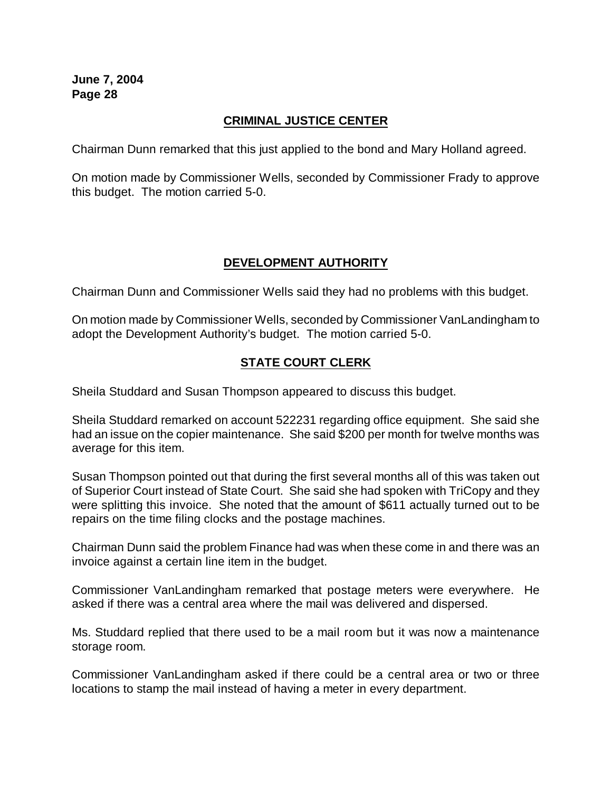## **CRIMINAL JUSTICE CENTER**

Chairman Dunn remarked that this just applied to the bond and Mary Holland agreed.

On motion made by Commissioner Wells, seconded by Commissioner Frady to approve this budget. The motion carried 5-0.

## **DEVELOPMENT AUTHORITY**

Chairman Dunn and Commissioner Wells said they had no problems with this budget.

On motion made by Commissioner Wells, seconded by Commissioner VanLandingham to adopt the Development Authority's budget. The motion carried 5-0.

## **STATE COURT CLERK**

Sheila Studdard and Susan Thompson appeared to discuss this budget.

Sheila Studdard remarked on account 522231 regarding office equipment. She said she had an issue on the copier maintenance. She said \$200 per month for twelve months was average for this item.

Susan Thompson pointed out that during the first several months all of this was taken out of Superior Court instead of State Court. She said she had spoken with TriCopy and they were splitting this invoice. She noted that the amount of \$611 actually turned out to be repairs on the time filing clocks and the postage machines.

Chairman Dunn said the problem Finance had was when these come in and there was an invoice against a certain line item in the budget.

Commissioner VanLandingham remarked that postage meters were everywhere. He asked if there was a central area where the mail was delivered and dispersed.

Ms. Studdard replied that there used to be a mail room but it was now a maintenance storage room.

Commissioner VanLandingham asked if there could be a central area or two or three locations to stamp the mail instead of having a meter in every department.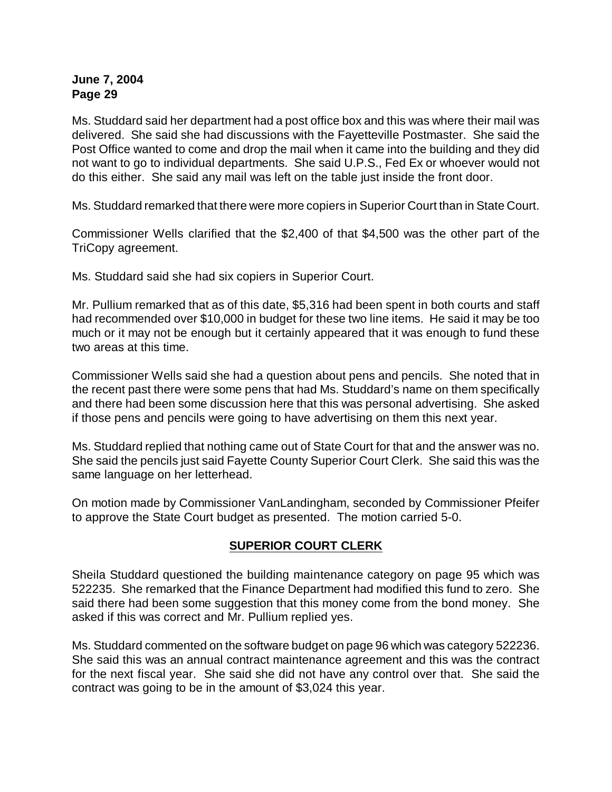Ms. Studdard said her department had a post office box and this was where their mail was delivered. She said she had discussions with the Fayetteville Postmaster. She said the Post Office wanted to come and drop the mail when it came into the building and they did not want to go to individual departments. She said U.P.S., Fed Ex or whoever would not do this either. She said any mail was left on the table just inside the front door.

Ms. Studdard remarked that there were more copiers in Superior Court than in State Court.

Commissioner Wells clarified that the \$2,400 of that \$4,500 was the other part of the TriCopy agreement.

Ms. Studdard said she had six copiers in Superior Court.

Mr. Pullium remarked that as of this date, \$5,316 had been spent in both courts and staff had recommended over \$10,000 in budget for these two line items. He said it may be too much or it may not be enough but it certainly appeared that it was enough to fund these two areas at this time.

Commissioner Wells said she had a question about pens and pencils. She noted that in the recent past there were some pens that had Ms. Studdard's name on them specifically and there had been some discussion here that this was personal advertising. She asked if those pens and pencils were going to have advertising on them this next year.

Ms. Studdard replied that nothing came out of State Court for that and the answer was no. She said the pencils just said Fayette County Superior Court Clerk. She said this was the same language on her letterhead.

On motion made by Commissioner VanLandingham, seconded by Commissioner Pfeifer to approve the State Court budget as presented. The motion carried 5-0.

## **SUPERIOR COURT CLERK**

Sheila Studdard questioned the building maintenance category on page 95 which was 522235. She remarked that the Finance Department had modified this fund to zero. She said there had been some suggestion that this money come from the bond money. She asked if this was correct and Mr. Pullium replied yes.

Ms. Studdard commented on the software budget on page 96 which was category 522236. She said this was an annual contract maintenance agreement and this was the contract for the next fiscal year. She said she did not have any control over that. She said the contract was going to be in the amount of \$3,024 this year.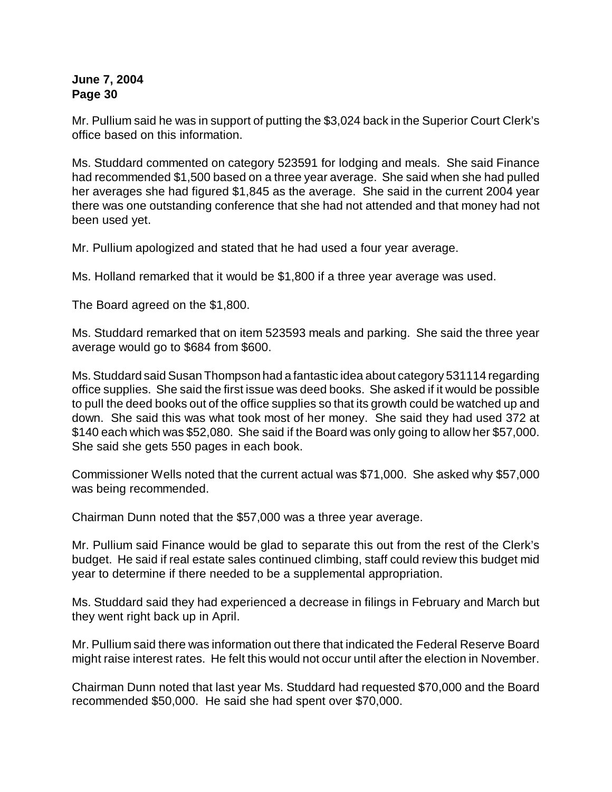Mr. Pullium said he was in support of putting the \$3,024 back in the Superior Court Clerk's office based on this information.

Ms. Studdard commented on category 523591 for lodging and meals. She said Finance had recommended \$1,500 based on a three year average. She said when she had pulled her averages she had figured \$1,845 as the average. She said in the current 2004 year there was one outstanding conference that she had not attended and that money had not been used yet.

Mr. Pullium apologized and stated that he had used a four year average.

Ms. Holland remarked that it would be \$1,800 if a three year average was used.

The Board agreed on the \$1,800.

Ms. Studdard remarked that on item 523593 meals and parking. She said the three year average would go to \$684 from \$600.

Ms. Studdard said Susan Thompson had a fantastic idea about category 531114 regarding office supplies. She said the first issue was deed books. She asked if it would be possible to pull the deed books out of the office supplies so that its growth could be watched up and down. She said this was what took most of her money. She said they had used 372 at \$140 each which was \$52,080. She said if the Board was only going to allow her \$57,000. She said she gets 550 pages in each book.

Commissioner Wells noted that the current actual was \$71,000. She asked why \$57,000 was being recommended.

Chairman Dunn noted that the \$57,000 was a three year average.

Mr. Pullium said Finance would be glad to separate this out from the rest of the Clerk's budget. He said if real estate sales continued climbing, staff could review this budget mid year to determine if there needed to be a supplemental appropriation.

Ms. Studdard said they had experienced a decrease in filings in February and March but they went right back up in April.

Mr. Pullium said there was information out there that indicated the Federal Reserve Board might raise interest rates. He felt this would not occur until after the election in November.

Chairman Dunn noted that last year Ms. Studdard had requested \$70,000 and the Board recommended \$50,000. He said she had spent over \$70,000.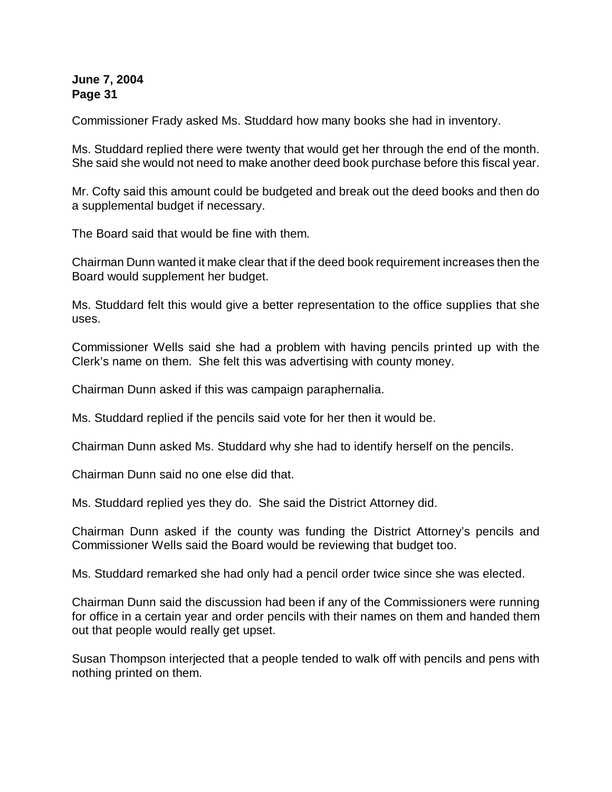Commissioner Frady asked Ms. Studdard how many books she had in inventory.

Ms. Studdard replied there were twenty that would get her through the end of the month. She said she would not need to make another deed book purchase before this fiscal year.

Mr. Cofty said this amount could be budgeted and break out the deed books and then do a supplemental budget if necessary.

The Board said that would be fine with them.

Chairman Dunn wanted it make clear that if the deed book requirement increases then the Board would supplement her budget.

Ms. Studdard felt this would give a better representation to the office supplies that she uses.

Commissioner Wells said she had a problem with having pencils printed up with the Clerk's name on them. She felt this was advertising with county money.

Chairman Dunn asked if this was campaign paraphernalia.

Ms. Studdard replied if the pencils said vote for her then it would be.

Chairman Dunn asked Ms. Studdard why she had to identify herself on the pencils.

Chairman Dunn said no one else did that.

Ms. Studdard replied yes they do. She said the District Attorney did.

Chairman Dunn asked if the county was funding the District Attorney's pencils and Commissioner Wells said the Board would be reviewing that budget too.

Ms. Studdard remarked she had only had a pencil order twice since she was elected.

Chairman Dunn said the discussion had been if any of the Commissioners were running for office in a certain year and order pencils with their names on them and handed them out that people would really get upset.

Susan Thompson interjected that a people tended to walk off with pencils and pens with nothing printed on them.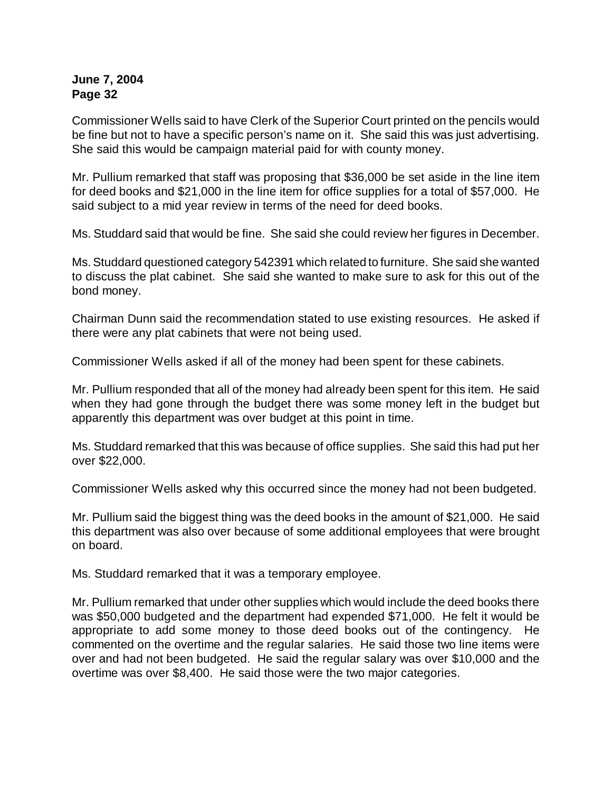Commissioner Wells said to have Clerk of the Superior Court printed on the pencils would be fine but not to have a specific person's name on it. She said this was just advertising. She said this would be campaign material paid for with county money.

Mr. Pullium remarked that staff was proposing that \$36,000 be set aside in the line item for deed books and \$21,000 in the line item for office supplies for a total of \$57,000. He said subject to a mid year review in terms of the need for deed books.

Ms. Studdard said that would be fine. She said she could review her figures in December.

Ms. Studdard questioned category 542391 which related to furniture. She said she wanted to discuss the plat cabinet. She said she wanted to make sure to ask for this out of the bond money.

Chairman Dunn said the recommendation stated to use existing resources. He asked if there were any plat cabinets that were not being used.

Commissioner Wells asked if all of the money had been spent for these cabinets.

Mr. Pullium responded that all of the money had already been spent for this item. He said when they had gone through the budget there was some money left in the budget but apparently this department was over budget at this point in time.

Ms. Studdard remarked that this was because of office supplies. She said this had put her over \$22,000.

Commissioner Wells asked why this occurred since the money had not been budgeted.

Mr. Pullium said the biggest thing was the deed books in the amount of \$21,000. He said this department was also over because of some additional employees that were brought on board.

Ms. Studdard remarked that it was a temporary employee.

Mr. Pullium remarked that under other supplies which would include the deed books there was \$50,000 budgeted and the department had expended \$71,000. He felt it would be appropriate to add some money to those deed books out of the contingency. He commented on the overtime and the regular salaries. He said those two line items were over and had not been budgeted. He said the regular salary was over \$10,000 and the overtime was over \$8,400. He said those were the two major categories.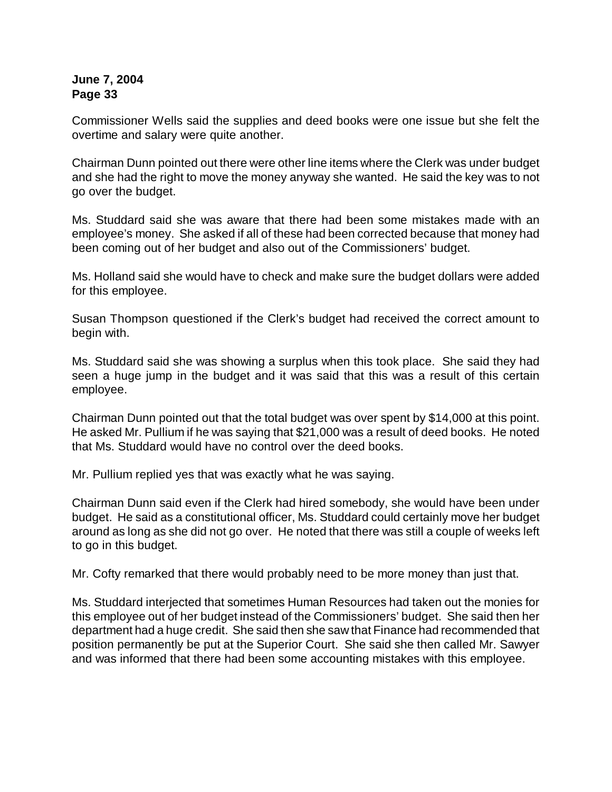Commissioner Wells said the supplies and deed books were one issue but she felt the overtime and salary were quite another.

Chairman Dunn pointed out there were other line items where the Clerk was under budget and she had the right to move the money anyway she wanted. He said the key was to not go over the budget.

Ms. Studdard said she was aware that there had been some mistakes made with an employee's money. She asked if all of these had been corrected because that money had been coming out of her budget and also out of the Commissioners' budget.

Ms. Holland said she would have to check and make sure the budget dollars were added for this employee.

Susan Thompson questioned if the Clerk's budget had received the correct amount to begin with.

Ms. Studdard said she was showing a surplus when this took place. She said they had seen a huge jump in the budget and it was said that this was a result of this certain employee.

Chairman Dunn pointed out that the total budget was over spent by \$14,000 at this point. He asked Mr. Pullium if he was saying that \$21,000 was a result of deed books. He noted that Ms. Studdard would have no control over the deed books.

Mr. Pullium replied yes that was exactly what he was saying.

Chairman Dunn said even if the Clerk had hired somebody, she would have been under budget. He said as a constitutional officer, Ms. Studdard could certainly move her budget around as long as she did not go over. He noted that there was still a couple of weeks left to go in this budget.

Mr. Cofty remarked that there would probably need to be more money than just that.

Ms. Studdard interjected that sometimes Human Resources had taken out the monies for this employee out of her budget instead of the Commissioners' budget. She said then her department had a huge credit. She said then she saw that Finance had recommended that position permanently be put at the Superior Court. She said she then called Mr. Sawyer and was informed that there had been some accounting mistakes with this employee.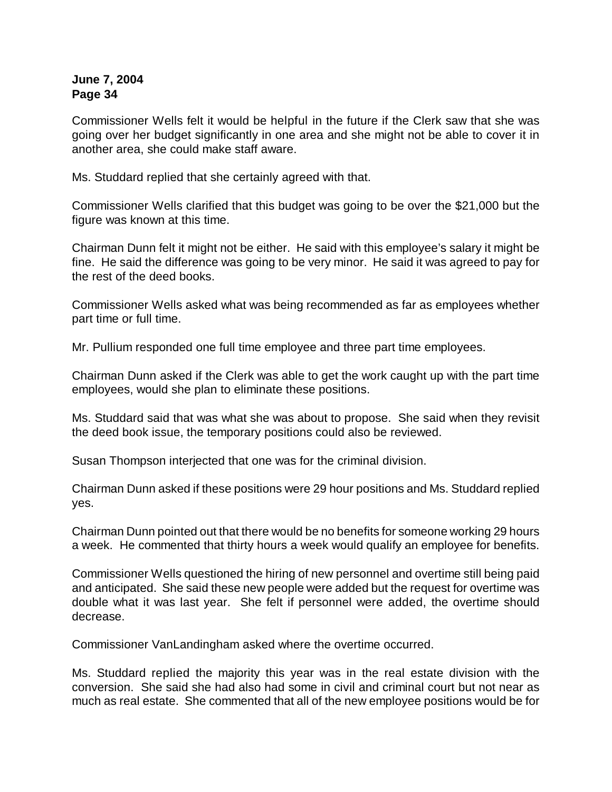Commissioner Wells felt it would be helpful in the future if the Clerk saw that she was going over her budget significantly in one area and she might not be able to cover it in another area, she could make staff aware.

Ms. Studdard replied that she certainly agreed with that.

Commissioner Wells clarified that this budget was going to be over the \$21,000 but the figure was known at this time.

Chairman Dunn felt it might not be either. He said with this employee's salary it might be fine. He said the difference was going to be very minor. He said it was agreed to pay for the rest of the deed books.

Commissioner Wells asked what was being recommended as far as employees whether part time or full time.

Mr. Pullium responded one full time employee and three part time employees.

Chairman Dunn asked if the Clerk was able to get the work caught up with the part time employees, would she plan to eliminate these positions.

Ms. Studdard said that was what she was about to propose. She said when they revisit the deed book issue, the temporary positions could also be reviewed.

Susan Thompson interjected that one was for the criminal division.

Chairman Dunn asked if these positions were 29 hour positions and Ms. Studdard replied yes.

Chairman Dunn pointed out that there would be no benefits for someone working 29 hours a week. He commented that thirty hours a week would qualify an employee for benefits.

Commissioner Wells questioned the hiring of new personnel and overtime still being paid and anticipated. She said these new people were added but the request for overtime was double what it was last year. She felt if personnel were added, the overtime should decrease.

Commissioner VanLandingham asked where the overtime occurred.

Ms. Studdard replied the majority this year was in the real estate division with the conversion. She said she had also had some in civil and criminal court but not near as much as real estate. She commented that all of the new employee positions would be for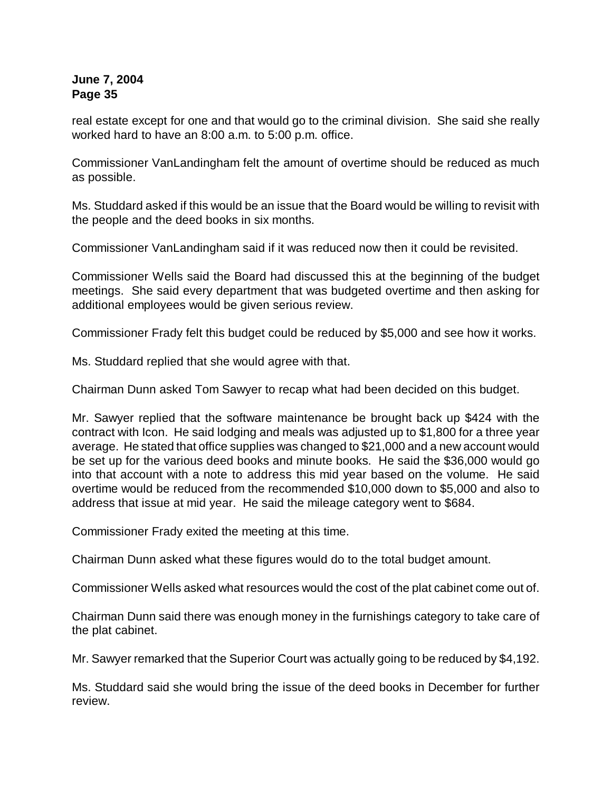real estate except for one and that would go to the criminal division. She said she really worked hard to have an 8:00 a.m. to 5:00 p.m. office.

Commissioner VanLandingham felt the amount of overtime should be reduced as much as possible.

Ms. Studdard asked if this would be an issue that the Board would be willing to revisit with the people and the deed books in six months.

Commissioner VanLandingham said if it was reduced now then it could be revisited.

Commissioner Wells said the Board had discussed this at the beginning of the budget meetings. She said every department that was budgeted overtime and then asking for additional employees would be given serious review.

Commissioner Frady felt this budget could be reduced by \$5,000 and see how it works.

Ms. Studdard replied that she would agree with that.

Chairman Dunn asked Tom Sawyer to recap what had been decided on this budget.

Mr. Sawyer replied that the software maintenance be brought back up \$424 with the contract with Icon. He said lodging and meals was adjusted up to \$1,800 for a three year average. He stated that office supplies was changed to \$21,000 and a new account would be set up for the various deed books and minute books. He said the \$36,000 would go into that account with a note to address this mid year based on the volume. He said overtime would be reduced from the recommended \$10,000 down to \$5,000 and also to address that issue at mid year. He said the mileage category went to \$684.

Commissioner Frady exited the meeting at this time.

Chairman Dunn asked what these figures would do to the total budget amount.

Commissioner Wells asked what resources would the cost of the plat cabinet come out of.

Chairman Dunn said there was enough money in the furnishings category to take care of the plat cabinet.

Mr. Sawyer remarked that the Superior Court was actually going to be reduced by \$4,192.

Ms. Studdard said she would bring the issue of the deed books in December for further review.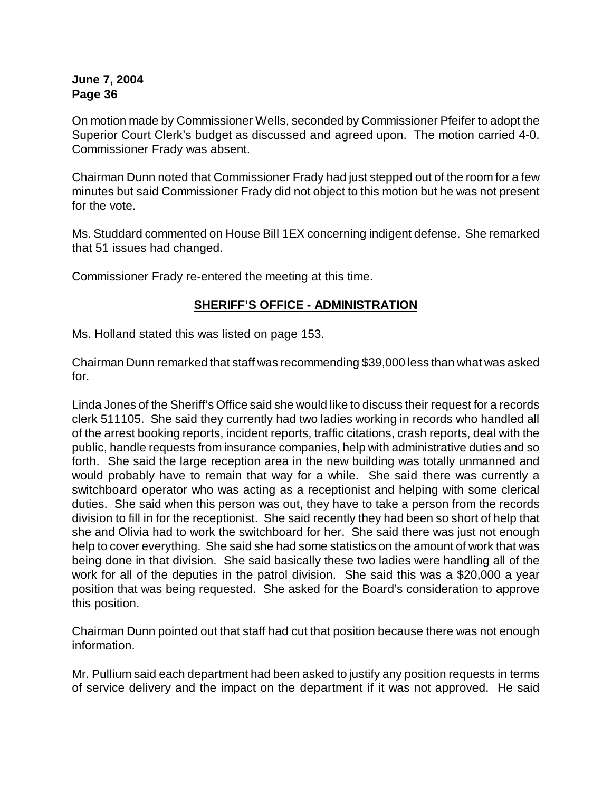On motion made by Commissioner Wells, seconded by Commissioner Pfeifer to adopt the Superior Court Clerk's budget as discussed and agreed upon. The motion carried 4-0. Commissioner Frady was absent.

Chairman Dunn noted that Commissioner Frady had just stepped out of the room for a few minutes but said Commissioner Frady did not object to this motion but he was not present for the vote.

Ms. Studdard commented on House Bill 1EX concerning indigent defense. She remarked that 51 issues had changed.

Commissioner Frady re-entered the meeting at this time.

## **SHERIFF'S OFFICE - ADMINISTRATION**

Ms. Holland stated this was listed on page 153.

Chairman Dunn remarked that staff was recommending \$39,000 less than what was asked for.

Linda Jones of the Sheriff's Office said she would like to discuss their request for a records clerk 511105. She said they currently had two ladies working in records who handled all of the arrest booking reports, incident reports, traffic citations, crash reports, deal with the public, handle requests from insurance companies, help with administrative duties and so forth. She said the large reception area in the new building was totally unmanned and would probably have to remain that way for a while. She said there was currently a switchboard operator who was acting as a receptionist and helping with some clerical duties. She said when this person was out, they have to take a person from the records division to fill in for the receptionist. She said recently they had been so short of help that she and Olivia had to work the switchboard for her. She said there was just not enough help to cover everything. She said she had some statistics on the amount of work that was being done in that division. She said basically these two ladies were handling all of the work for all of the deputies in the patrol division. She said this was a \$20,000 a year position that was being requested. She asked for the Board's consideration to approve this position.

Chairman Dunn pointed out that staff had cut that position because there was not enough information.

Mr. Pullium said each department had been asked to justify any position requests in terms of service delivery and the impact on the department if it was not approved. He said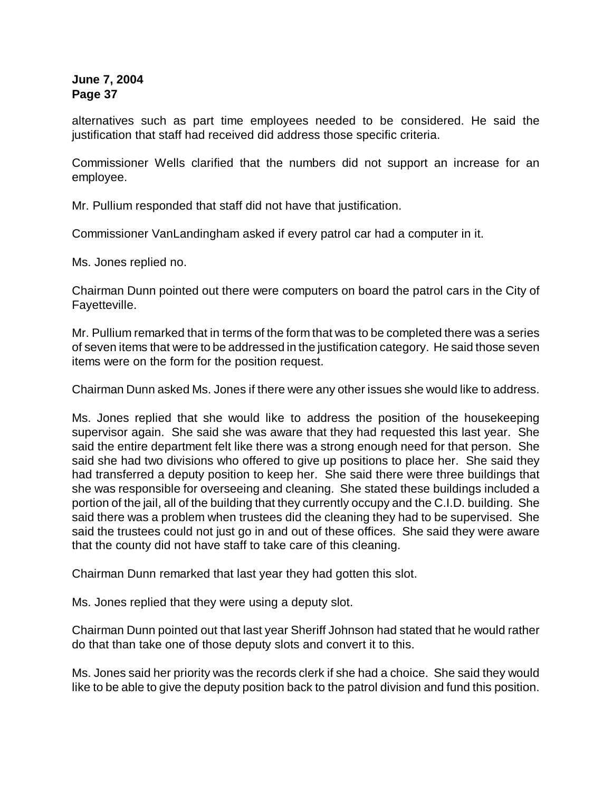alternatives such as part time employees needed to be considered. He said the justification that staff had received did address those specific criteria.

Commissioner Wells clarified that the numbers did not support an increase for an employee.

Mr. Pullium responded that staff did not have that justification.

Commissioner VanLandingham asked if every patrol car had a computer in it.

Ms. Jones replied no.

Chairman Dunn pointed out there were computers on board the patrol cars in the City of Fayetteville.

Mr. Pullium remarked that in terms of the form that was to be completed there was a series of seven items that were to be addressed in the justification category. He said those seven items were on the form for the position request.

Chairman Dunn asked Ms. Jones if there were any other issues she would like to address.

Ms. Jones replied that she would like to address the position of the housekeeping supervisor again. She said she was aware that they had requested this last year. She said the entire department felt like there was a strong enough need for that person. She said she had two divisions who offered to give up positions to place her. She said they had transferred a deputy position to keep her. She said there were three buildings that she was responsible for overseeing and cleaning. She stated these buildings included a portion of the jail, all of the building that they currently occupy and the C.I.D. building. She said there was a problem when trustees did the cleaning they had to be supervised. She said the trustees could not just go in and out of these offices. She said they were aware that the county did not have staff to take care of this cleaning.

Chairman Dunn remarked that last year they had gotten this slot.

Ms. Jones replied that they were using a deputy slot.

Chairman Dunn pointed out that last year Sheriff Johnson had stated that he would rather do that than take one of those deputy slots and convert it to this.

Ms. Jones said her priority was the records clerk if she had a choice. She said they would like to be able to give the deputy position back to the patrol division and fund this position.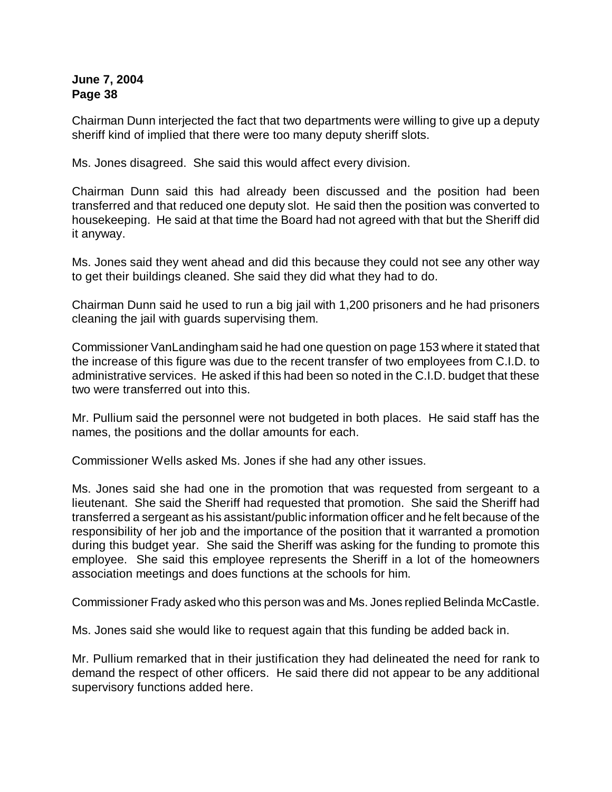Chairman Dunn interjected the fact that two departments were willing to give up a deputy sheriff kind of implied that there were too many deputy sheriff slots.

Ms. Jones disagreed. She said this would affect every division.

Chairman Dunn said this had already been discussed and the position had been transferred and that reduced one deputy slot. He said then the position was converted to housekeeping. He said at that time the Board had not agreed with that but the Sheriff did it anyway.

Ms. Jones said they went ahead and did this because they could not see any other way to get their buildings cleaned. She said they did what they had to do.

Chairman Dunn said he used to run a big jail with 1,200 prisoners and he had prisoners cleaning the jail with guards supervising them.

Commissioner VanLandingham said he had one question on page 153 where it stated that the increase of this figure was due to the recent transfer of two employees from C.I.D. to administrative services. He asked if this had been so noted in the C.I.D. budget that these two were transferred out into this.

Mr. Pullium said the personnel were not budgeted in both places. He said staff has the names, the positions and the dollar amounts for each.

Commissioner Wells asked Ms. Jones if she had any other issues.

Ms. Jones said she had one in the promotion that was requested from sergeant to a lieutenant. She said the Sheriff had requested that promotion. She said the Sheriff had transferred a sergeant as his assistant/public information officer and he felt because of the responsibility of her job and the importance of the position that it warranted a promotion during this budget year. She said the Sheriff was asking for the funding to promote this employee. She said this employee represents the Sheriff in a lot of the homeowners association meetings and does functions at the schools for him.

Commissioner Frady asked who this person was and Ms. Jones replied Belinda McCastle.

Ms. Jones said she would like to request again that this funding be added back in.

Mr. Pullium remarked that in their justification they had delineated the need for rank to demand the respect of other officers. He said there did not appear to be any additional supervisory functions added here.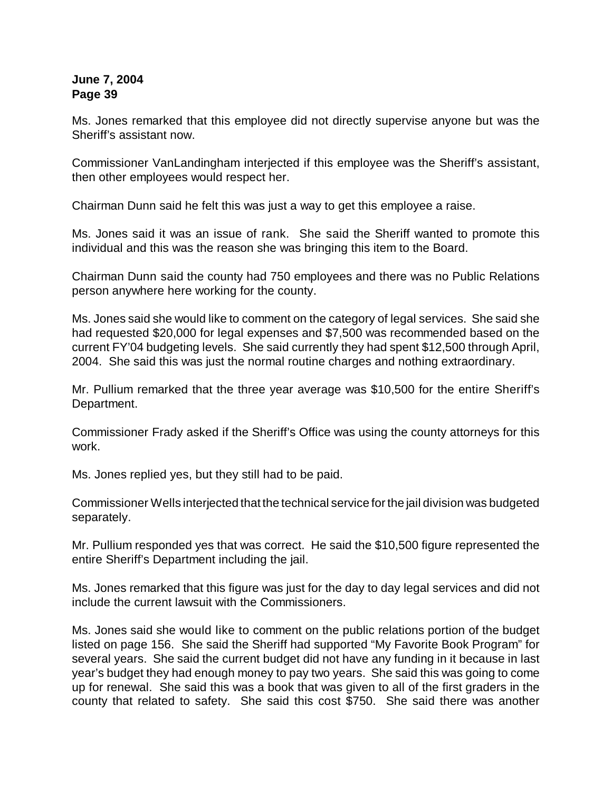Ms. Jones remarked that this employee did not directly supervise anyone but was the Sheriff's assistant now.

Commissioner VanLandingham interjected if this employee was the Sheriff's assistant, then other employees would respect her.

Chairman Dunn said he felt this was just a way to get this employee a raise.

Ms. Jones said it was an issue of rank. She said the Sheriff wanted to promote this individual and this was the reason she was bringing this item to the Board.

Chairman Dunn said the county had 750 employees and there was no Public Relations person anywhere here working for the county.

Ms. Jones said she would like to comment on the category of legal services. She said she had requested \$20,000 for legal expenses and \$7,500 was recommended based on the current FY'04 budgeting levels. She said currently they had spent \$12,500 through April, 2004. She said this was just the normal routine charges and nothing extraordinary.

Mr. Pullium remarked that the three year average was \$10,500 for the entire Sheriff's Department.

Commissioner Frady asked if the Sheriff's Office was using the county attorneys for this work.

Ms. Jones replied yes, but they still had to be paid.

Commissioner Wells interjected that the technical service for the jail division was budgeted separately.

Mr. Pullium responded yes that was correct. He said the \$10,500 figure represented the entire Sheriff's Department including the jail.

Ms. Jones remarked that this figure was just for the day to day legal services and did not include the current lawsuit with the Commissioners.

Ms. Jones said she would like to comment on the public relations portion of the budget listed on page 156. She said the Sheriff had supported "My Favorite Book Program" for several years. She said the current budget did not have any funding in it because in last year's budget they had enough money to pay two years. She said this was going to come up for renewal. She said this was a book that was given to all of the first graders in the county that related to safety. She said this cost \$750. She said there was another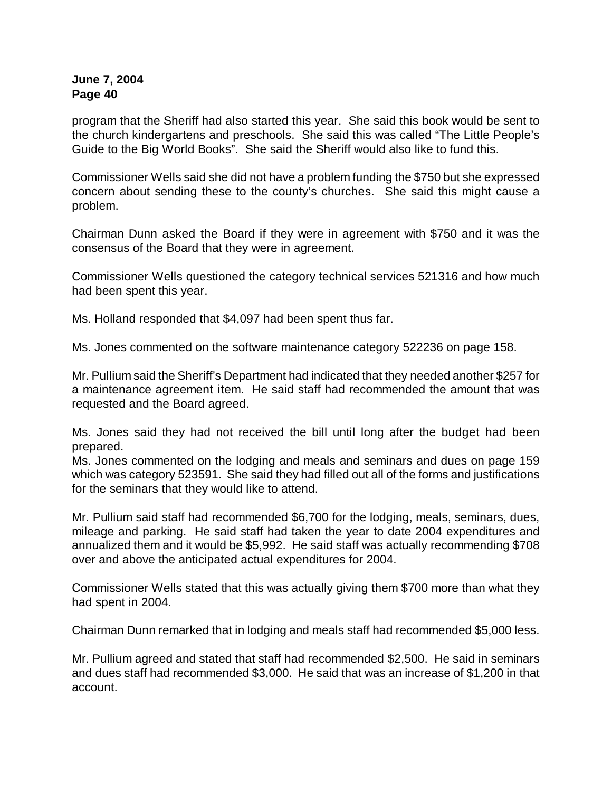program that the Sheriff had also started this year. She said this book would be sent to the church kindergartens and preschools. She said this was called "The Little People's Guide to the Big World Books". She said the Sheriff would also like to fund this.

Commissioner Wells said she did not have a problem funding the \$750 but she expressed concern about sending these to the county's churches. She said this might cause a problem.

Chairman Dunn asked the Board if they were in agreement with \$750 and it was the consensus of the Board that they were in agreement.

Commissioner Wells questioned the category technical services 521316 and how much had been spent this year.

Ms. Holland responded that \$4,097 had been spent thus far.

Ms. Jones commented on the software maintenance category 522236 on page 158.

Mr. Pullium said the Sheriff's Department had indicated that they needed another \$257 for a maintenance agreement item. He said staff had recommended the amount that was requested and the Board agreed.

Ms. Jones said they had not received the bill until long after the budget had been prepared.

Ms. Jones commented on the lodging and meals and seminars and dues on page 159 which was category 523591. She said they had filled out all of the forms and justifications for the seminars that they would like to attend.

Mr. Pullium said staff had recommended \$6,700 for the lodging, meals, seminars, dues, mileage and parking. He said staff had taken the year to date 2004 expenditures and annualized them and it would be \$5,992. He said staff was actually recommending \$708 over and above the anticipated actual expenditures for 2004.

Commissioner Wells stated that this was actually giving them \$700 more than what they had spent in 2004.

Chairman Dunn remarked that in lodging and meals staff had recommended \$5,000 less.

Mr. Pullium agreed and stated that staff had recommended \$2,500. He said in seminars and dues staff had recommended \$3,000. He said that was an increase of \$1,200 in that account.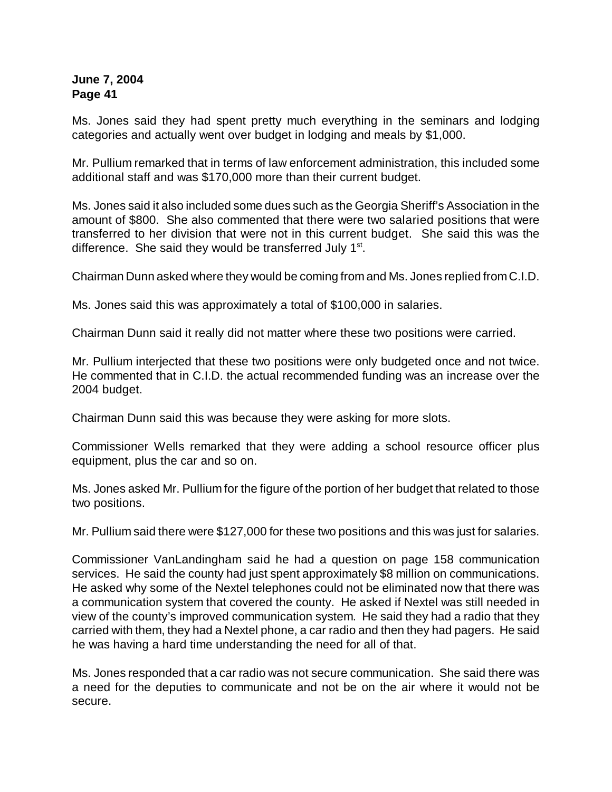Ms. Jones said they had spent pretty much everything in the seminars and lodging categories and actually went over budget in lodging and meals by \$1,000.

Mr. Pullium remarked that in terms of law enforcement administration, this included some additional staff and was \$170,000 more than their current budget.

Ms. Jones said it also included some dues such as the Georgia Sheriff's Association in the amount of \$800. She also commented that there were two salaried positions that were transferred to her division that were not in this current budget. She said this was the difference. She said they would be transferred July 1<sup>st</sup>.

Chairman Dunn asked where they would be coming from and Ms. Jones replied from C.I.D.

Ms. Jones said this was approximately a total of \$100,000 in salaries.

Chairman Dunn said it really did not matter where these two positions were carried.

Mr. Pullium interjected that these two positions were only budgeted once and not twice. He commented that in C.I.D. the actual recommended funding was an increase over the 2004 budget.

Chairman Dunn said this was because they were asking for more slots.

Commissioner Wells remarked that they were adding a school resource officer plus equipment, plus the car and so on.

Ms. Jones asked Mr. Pullium for the figure of the portion of her budget that related to those two positions.

Mr. Pullium said there were \$127,000 for these two positions and this was just for salaries.

Commissioner VanLandingham said he had a question on page 158 communication services. He said the county had just spent approximately \$8 million on communications. He asked why some of the Nextel telephones could not be eliminated now that there was a communication system that covered the county. He asked if Nextel was still needed in view of the county's improved communication system. He said they had a radio that they carried with them, they had a Nextel phone, a car radio and then they had pagers. He said he was having a hard time understanding the need for all of that.

Ms. Jones responded that a car radio was not secure communication. She said there was a need for the deputies to communicate and not be on the air where it would not be secure.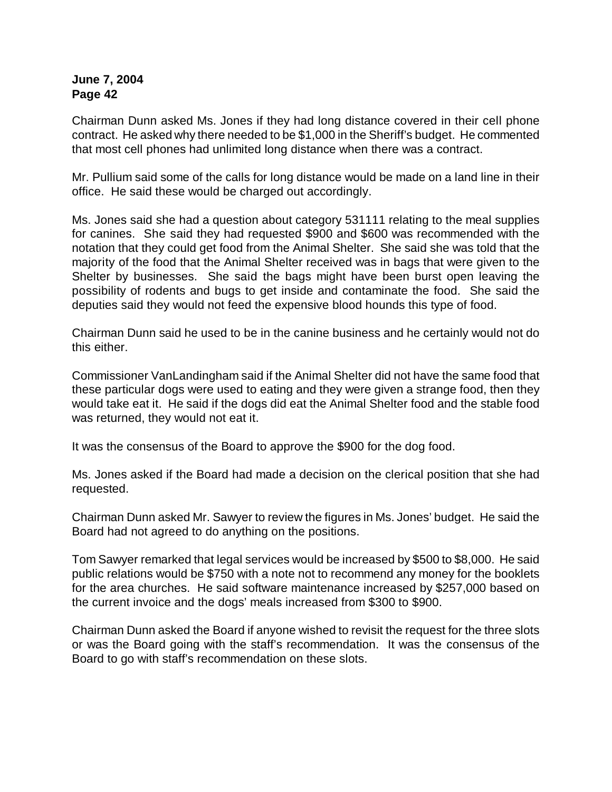Chairman Dunn asked Ms. Jones if they had long distance covered in their cell phone contract. He asked why there needed to be \$1,000 in the Sheriff's budget. He commented that most cell phones had unlimited long distance when there was a contract.

Mr. Pullium said some of the calls for long distance would be made on a land line in their office. He said these would be charged out accordingly.

Ms. Jones said she had a question about category 531111 relating to the meal supplies for canines. She said they had requested \$900 and \$600 was recommended with the notation that they could get food from the Animal Shelter. She said she was told that the majority of the food that the Animal Shelter received was in bags that were given to the Shelter by businesses. She said the bags might have been burst open leaving the possibility of rodents and bugs to get inside and contaminate the food. She said the deputies said they would not feed the expensive blood hounds this type of food.

Chairman Dunn said he used to be in the canine business and he certainly would not do this either.

Commissioner VanLandingham said if the Animal Shelter did not have the same food that these particular dogs were used to eating and they were given a strange food, then they would take eat it. He said if the dogs did eat the Animal Shelter food and the stable food was returned, they would not eat it.

It was the consensus of the Board to approve the \$900 for the dog food.

Ms. Jones asked if the Board had made a decision on the clerical position that she had requested.

Chairman Dunn asked Mr. Sawyer to review the figures in Ms. Jones' budget. He said the Board had not agreed to do anything on the positions.

Tom Sawyer remarked that legal services would be increased by \$500 to \$8,000. He said public relations would be \$750 with a note not to recommend any money for the booklets for the area churches. He said software maintenance increased by \$257,000 based on the current invoice and the dogs' meals increased from \$300 to \$900.

Chairman Dunn asked the Board if anyone wished to revisit the request for the three slots or was the Board going with the staff's recommendation. It was the consensus of the Board to go with staff's recommendation on these slots.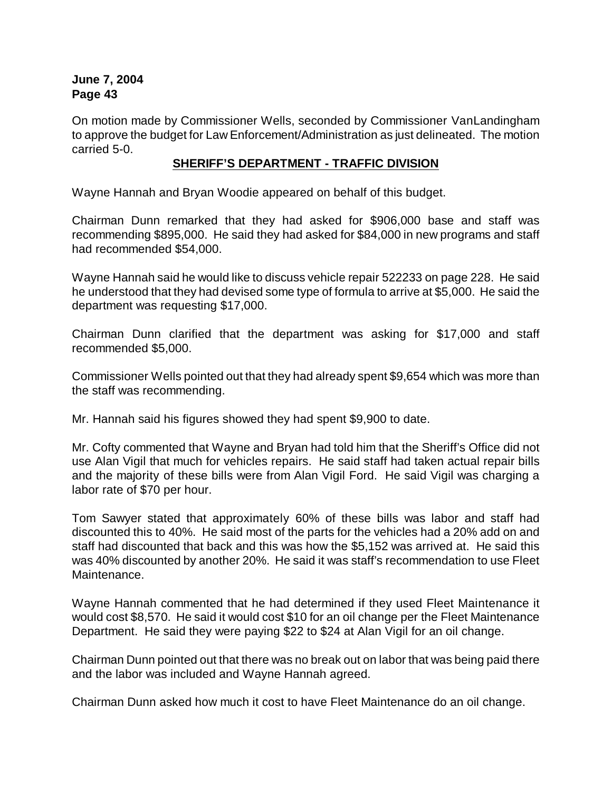On motion made by Commissioner Wells, seconded by Commissioner VanLandingham to approve the budget for Law Enforcement/Administration as just delineated. The motion carried 5-0.

### **SHERIFF'S DEPARTMENT - TRAFFIC DIVISION**

Wayne Hannah and Bryan Woodie appeared on behalf of this budget.

Chairman Dunn remarked that they had asked for \$906,000 base and staff was recommending \$895,000. He said they had asked for \$84,000 in new programs and staff had recommended \$54,000.

Wayne Hannah said he would like to discuss vehicle repair 522233 on page 228. He said he understood that they had devised some type of formula to arrive at \$5,000. He said the department was requesting \$17,000.

Chairman Dunn clarified that the department was asking for \$17,000 and staff recommended \$5,000.

Commissioner Wells pointed out that they had already spent \$9,654 which was more than the staff was recommending.

Mr. Hannah said his figures showed they had spent \$9,900 to date.

Mr. Cofty commented that Wayne and Bryan had told him that the Sheriff's Office did not use Alan Vigil that much for vehicles repairs. He said staff had taken actual repair bills and the majority of these bills were from Alan Vigil Ford. He said Vigil was charging a labor rate of \$70 per hour.

Tom Sawyer stated that approximately 60% of these bills was labor and staff had discounted this to 40%. He said most of the parts for the vehicles had a 20% add on and staff had discounted that back and this was how the \$5,152 was arrived at. He said this was 40% discounted by another 20%. He said it was staff's recommendation to use Fleet Maintenance.

Wayne Hannah commented that he had determined if they used Fleet Maintenance it would cost \$8,570. He said it would cost \$10 for an oil change per the Fleet Maintenance Department. He said they were paying \$22 to \$24 at Alan Vigil for an oil change.

Chairman Dunn pointed out that there was no break out on labor that was being paid there and the labor was included and Wayne Hannah agreed.

Chairman Dunn asked how much it cost to have Fleet Maintenance do an oil change.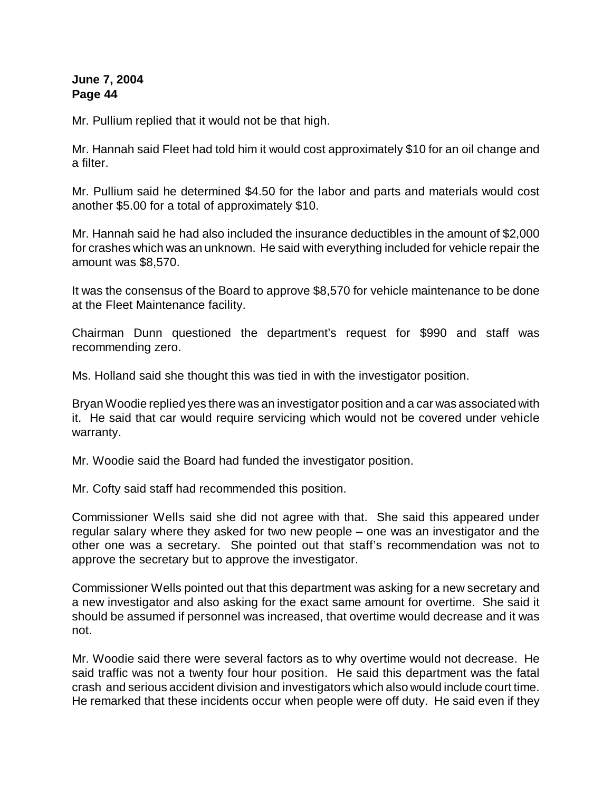Mr. Pullium replied that it would not be that high.

Mr. Hannah said Fleet had told him it would cost approximately \$10 for an oil change and a filter.

Mr. Pullium said he determined \$4.50 for the labor and parts and materials would cost another \$5.00 for a total of approximately \$10.

Mr. Hannah said he had also included the insurance deductibles in the amount of \$2,000 for crashes which was an unknown. He said with everything included for vehicle repair the amount was \$8,570.

It was the consensus of the Board to approve \$8,570 for vehicle maintenance to be done at the Fleet Maintenance facility.

Chairman Dunn questioned the department's request for \$990 and staff was recommending zero.

Ms. Holland said she thought this was tied in with the investigator position.

Bryan Woodie replied yes there was an investigator position and a car was associated with it. He said that car would require servicing which would not be covered under vehicle warranty.

Mr. Woodie said the Board had funded the investigator position.

Mr. Cofty said staff had recommended this position.

Commissioner Wells said she did not agree with that. She said this appeared under regular salary where they asked for two new people – one was an investigator and the other one was a secretary. She pointed out that staff's recommendation was not to approve the secretary but to approve the investigator.

Commissioner Wells pointed out that this department was asking for a new secretary and a new investigator and also asking for the exact same amount for overtime. She said it should be assumed if personnel was increased, that overtime would decrease and it was not.

Mr. Woodie said there were several factors as to why overtime would not decrease. He said traffic was not a twenty four hour position. He said this department was the fatal crash and serious accident division and investigators which also would include court time. He remarked that these incidents occur when people were off duty. He said even if they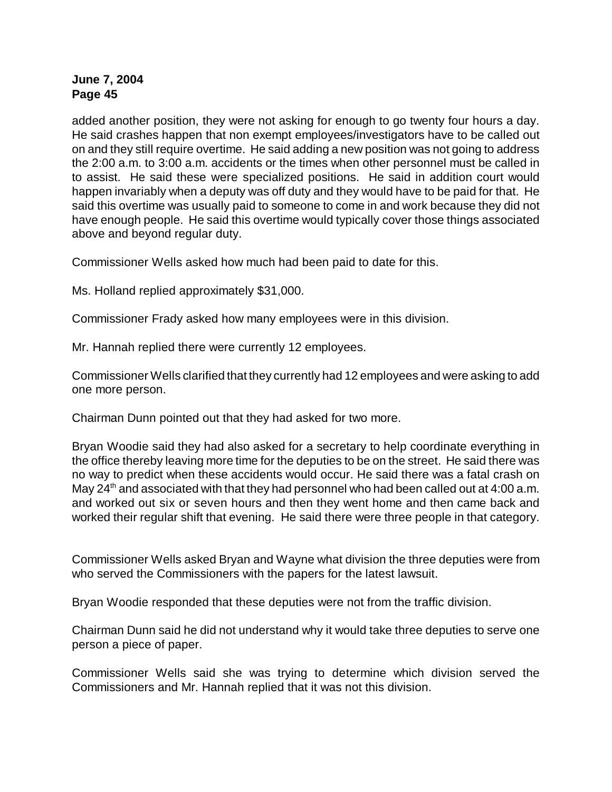added another position, they were not asking for enough to go twenty four hours a day. He said crashes happen that non exempt employees/investigators have to be called out on and they still require overtime. He said adding a new position was not going to address the 2:00 a.m. to 3:00 a.m. accidents or the times when other personnel must be called in to assist. He said these were specialized positions. He said in addition court would happen invariably when a deputy was off duty and they would have to be paid for that. He said this overtime was usually paid to someone to come in and work because they did not have enough people. He said this overtime would typically cover those things associated above and beyond regular duty.

Commissioner Wells asked how much had been paid to date for this.

Ms. Holland replied approximately \$31,000.

Commissioner Frady asked how many employees were in this division.

Mr. Hannah replied there were currently 12 employees.

Commissioner Wells clarified that they currently had 12 employees and were asking to add one more person.

Chairman Dunn pointed out that they had asked for two more.

Bryan Woodie said they had also asked for a secretary to help coordinate everything in the office thereby leaving more time for the deputies to be on the street. He said there was no way to predict when these accidents would occur. He said there was a fatal crash on May  $24<sup>th</sup>$  and associated with that they had personnel who had been called out at 4:00 a.m. and worked out six or seven hours and then they went home and then came back and worked their regular shift that evening. He said there were three people in that category.

Commissioner Wells asked Bryan and Wayne what division the three deputies were from who served the Commissioners with the papers for the latest lawsuit.

Bryan Woodie responded that these deputies were not from the traffic division.

Chairman Dunn said he did not understand why it would take three deputies to serve one person a piece of paper.

Commissioner Wells said she was trying to determine which division served the Commissioners and Mr. Hannah replied that it was not this division.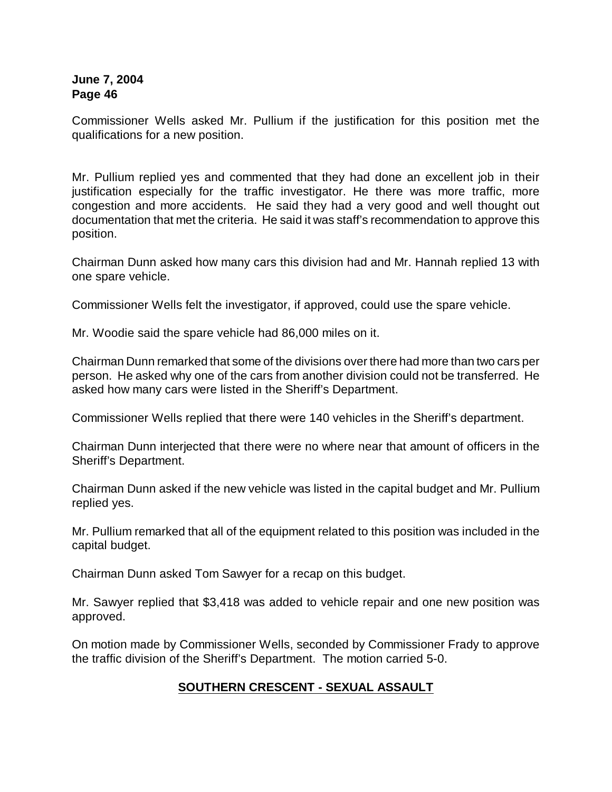Commissioner Wells asked Mr. Pullium if the justification for this position met the qualifications for a new position.

Mr. Pullium replied yes and commented that they had done an excellent job in their justification especially for the traffic investigator. He there was more traffic, more congestion and more accidents. He said they had a very good and well thought out documentation that met the criteria. He said it was staff's recommendation to approve this position.

Chairman Dunn asked how many cars this division had and Mr. Hannah replied 13 with one spare vehicle.

Commissioner Wells felt the investigator, if approved, could use the spare vehicle.

Mr. Woodie said the spare vehicle had 86,000 miles on it.

Chairman Dunn remarked that some of the divisions over there had more than two cars per person. He asked why one of the cars from another division could not be transferred. He asked how many cars were listed in the Sheriff's Department.

Commissioner Wells replied that there were 140 vehicles in the Sheriff's department.

Chairman Dunn interjected that there were no where near that amount of officers in the Sheriff's Department.

Chairman Dunn asked if the new vehicle was listed in the capital budget and Mr. Pullium replied yes.

Mr. Pullium remarked that all of the equipment related to this position was included in the capital budget.

Chairman Dunn asked Tom Sawyer for a recap on this budget.

Mr. Sawyer replied that \$3,418 was added to vehicle repair and one new position was approved.

On motion made by Commissioner Wells, seconded by Commissioner Frady to approve the traffic division of the Sheriff's Department. The motion carried 5-0.

# **SOUTHERN CRESCENT - SEXUAL ASSAULT**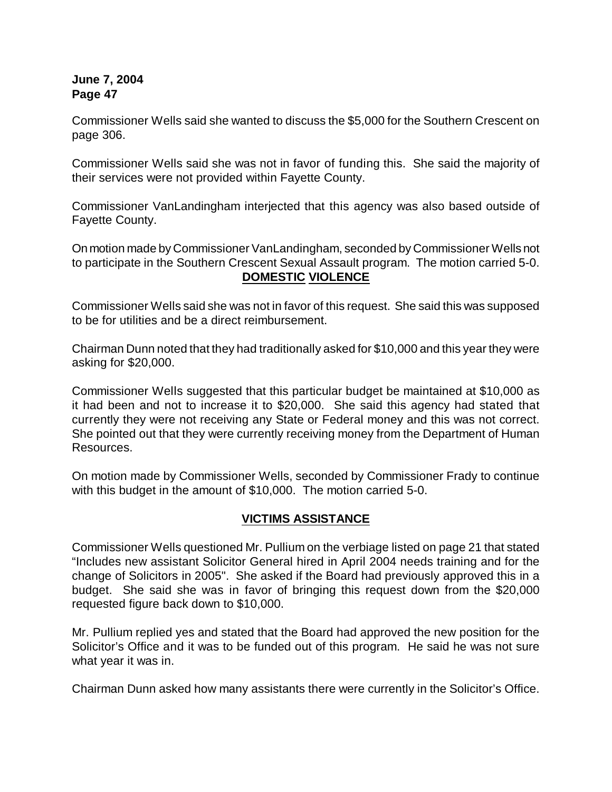Commissioner Wells said she wanted to discuss the \$5,000 for the Southern Crescent on page 306.

Commissioner Wells said she was not in favor of funding this. She said the majority of their services were not provided within Fayette County.

Commissioner VanLandingham interjected that this agency was also based outside of Fayette County.

On motion made by Commissioner VanLandingham, seconded by Commissioner Wells not to participate in the Southern Crescent Sexual Assault program. The motion carried 5-0. **DOMESTIC VIOLENCE**

Commissioner Wells said she was not in favor of this request. She said this was supposed to be for utilities and be a direct reimbursement.

Chairman Dunn noted that they had traditionally asked for \$10,000 and this year they were asking for \$20,000.

Commissioner Wells suggested that this particular budget be maintained at \$10,000 as it had been and not to increase it to \$20,000. She said this agency had stated that currently they were not receiving any State or Federal money and this was not correct. She pointed out that they were currently receiving money from the Department of Human Resources.

On motion made by Commissioner Wells, seconded by Commissioner Frady to continue with this budget in the amount of \$10,000. The motion carried 5-0.

## **VICTIMS ASSISTANCE**

Commissioner Wells questioned Mr. Pullium on the verbiage listed on page 21 that stated "Includes new assistant Solicitor General hired in April 2004 needs training and for the change of Solicitors in 2005". She asked if the Board had previously approved this in a budget. She said she was in favor of bringing this request down from the \$20,000 requested figure back down to \$10,000.

Mr. Pullium replied yes and stated that the Board had approved the new position for the Solicitor's Office and it was to be funded out of this program. He said he was not sure what year it was in.

Chairman Dunn asked how many assistants there were currently in the Solicitor's Office.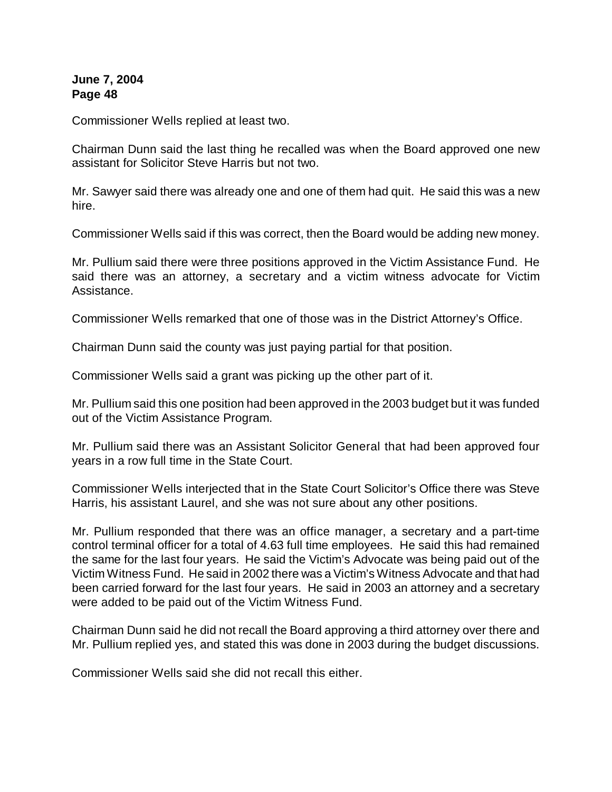Commissioner Wells replied at least two.

Chairman Dunn said the last thing he recalled was when the Board approved one new assistant for Solicitor Steve Harris but not two.

Mr. Sawyer said there was already one and one of them had quit. He said this was a new hire.

Commissioner Wells said if this was correct, then the Board would be adding new money.

Mr. Pullium said there were three positions approved in the Victim Assistance Fund. He said there was an attorney, a secretary and a victim witness advocate for Victim Assistance.

Commissioner Wells remarked that one of those was in the District Attorney's Office.

Chairman Dunn said the county was just paying partial for that position.

Commissioner Wells said a grant was picking up the other part of it.

Mr. Pullium said this one position had been approved in the 2003 budget but it was funded out of the Victim Assistance Program.

Mr. Pullium said there was an Assistant Solicitor General that had been approved four years in a row full time in the State Court.

Commissioner Wells interjected that in the State Court Solicitor's Office there was Steve Harris, his assistant Laurel, and she was not sure about any other positions.

Mr. Pullium responded that there was an office manager, a secretary and a part-time control terminal officer for a total of 4.63 full time employees. He said this had remained the same for the last four years. He said the Victim's Advocate was being paid out of the Victim Witness Fund. He said in 2002 there was a Victim's Witness Advocate and that had been carried forward for the last four years. He said in 2003 an attorney and a secretary were added to be paid out of the Victim Witness Fund.

Chairman Dunn said he did not recall the Board approving a third attorney over there and Mr. Pullium replied yes, and stated this was done in 2003 during the budget discussions.

Commissioner Wells said she did not recall this either.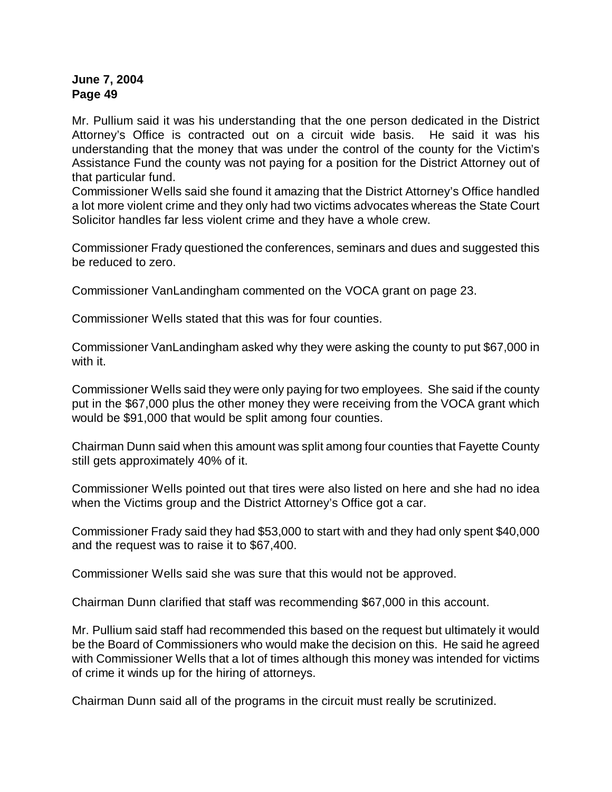Mr. Pullium said it was his understanding that the one person dedicated in the District Attorney's Office is contracted out on a circuit wide basis. He said it was his understanding that the money that was under the control of the county for the Victim's Assistance Fund the county was not paying for a position for the District Attorney out of that particular fund.

Commissioner Wells said she found it amazing that the District Attorney's Office handled a lot more violent crime and they only had two victims advocates whereas the State Court Solicitor handles far less violent crime and they have a whole crew.

Commissioner Frady questioned the conferences, seminars and dues and suggested this be reduced to zero.

Commissioner VanLandingham commented on the VOCA grant on page 23.

Commissioner Wells stated that this was for four counties.

Commissioner VanLandingham asked why they were asking the county to put \$67,000 in with it.

Commissioner Wells said they were only paying for two employees. She said if the county put in the \$67,000 plus the other money they were receiving from the VOCA grant which would be \$91,000 that would be split among four counties.

Chairman Dunn said when this amount was split among four counties that Fayette County still gets approximately 40% of it.

Commissioner Wells pointed out that tires were also listed on here and she had no idea when the Victims group and the District Attorney's Office got a car.

Commissioner Frady said they had \$53,000 to start with and they had only spent \$40,000 and the request was to raise it to \$67,400.

Commissioner Wells said she was sure that this would not be approved.

Chairman Dunn clarified that staff was recommending \$67,000 in this account.

Mr. Pullium said staff had recommended this based on the request but ultimately it would be the Board of Commissioners who would make the decision on this. He said he agreed with Commissioner Wells that a lot of times although this money was intended for victims of crime it winds up for the hiring of attorneys.

Chairman Dunn said all of the programs in the circuit must really be scrutinized.